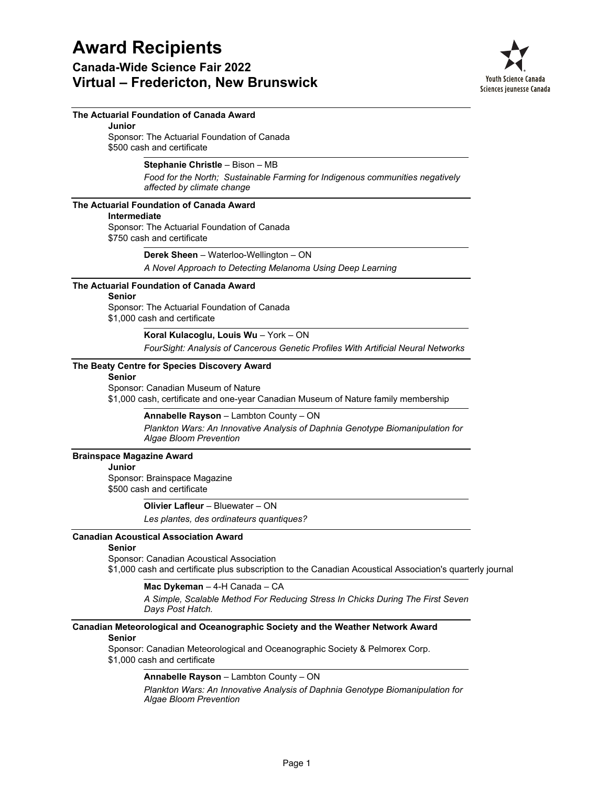### **Canada-Wide Science Fair 2022 Virtual – Fredericton, New Brunswick**



### **The Actuarial Foundation of Canada Award**

Sponsor: The Actuarial Foundation of Canada \$500 cash and certificate **Junior**

**Stephanie Christle** – Bison – MB

*Food for the North; Sustainable Farming for Indigenous communities negatively affected by climate change*

### **The Actuarial Foundation of Canada Award**

#### **Intermediate**

Sponsor: The Actuarial Foundation of Canada \$750 cash and certificate

### **Derek Sheen** – Waterloo-Wellington – ON

*A Novel Approach to Detecting Melanoma Using Deep Learning*

### **The Actuarial Foundation of Canada Award**

#### **Senior**

Sponsor: The Actuarial Foundation of Canada

\$1,000 cash and certificate

### **Koral Kulacoglu, Louis Wu** – York – ON

*FourSight: Analysis of Cancerous Genetic Profiles With Artificial Neural Networks*

### **The Beaty Centre for Species Discovery Award**

### **Senior**

Sponsor: Canadian Museum of Nature

\$1,000 cash, certificate and one-year Canadian Museum of Nature family membership

#### **Annabelle Rayson** – Lambton County – ON

*Plankton Wars: An Innovative Analysis of Daphnia Genotype Biomanipulation for Algae Bloom Prevention*

### **Brainspace Magazine Award**

#### **Junior**

Sponsor: Brainspace Magazine \$500 cash and certificate

> *Les plantes, des ordinateurs quantiques?* **Olivier Lafleur** – Bluewater – ON

### **Canadian Acoustical Association Award**

### **Senior**

Sponsor: Canadian Acoustical Association \$1,000 cash and certificate plus subscription to the Canadian Acoustical Association's quarterly journal

### **Mac Dykeman** – 4-H Canada – CA

*A Simple, Scalable Method For Reducing Stress In Chicks During The First Seven Days Post Hatch.*

### **Canadian Meteorological and Oceanographic Society and the Weather Network Award**

### **Senior**

Sponsor: Canadian Meteorological and Oceanographic Society & Pelmorex Corp. \$1,000 cash and certificate

### **Annabelle Rayson** – Lambton County – ON

*Plankton Wars: An Innovative Analysis of Daphnia Genotype Biomanipulation for Algae Bloom Prevention*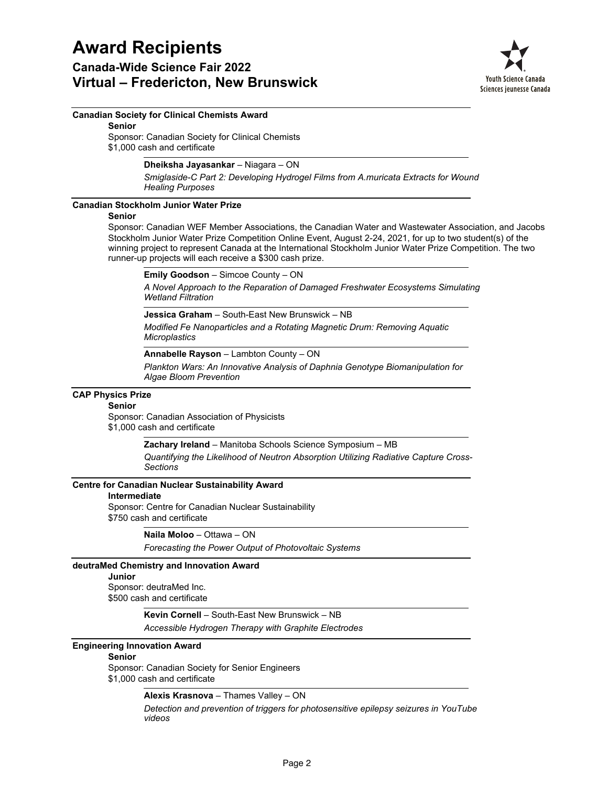### **Canada-Wide Science Fair 2022 Virtual – Fredericton, New Brunswick**



### **Canadian Society for Clinical Chemists Award**

**Senior**

Sponsor: Canadian Society for Clinical Chemists \$1,000 cash and certificate

### **Dheiksha Jayasankar** – Niagara – ON

*Smiglaside-C Part 2: Developing Hydrogel Films from A.muricata Extracts for Wound Healing Purposes*

### **Canadian Stockholm Junior Water Prize**

### **Senior**

Sponsor: Canadian WEF Member Associations, the Canadian Water and Wastewater Association, and Jacobs Stockholm Junior Water Prize Competition Online Event, August 2-24, 2021, for up to two student(s) of the winning project to represent Canada at the International Stockholm Junior Water Prize Competition. The two runner-up projects will each receive a \$300 cash prize.

**Emily Goodson** – Simcoe County – ON

*A Novel Approach to the Reparation of Damaged Freshwater Ecosystems Simulating Wetland Filtration*

**Jessica Graham** – South-East New Brunswick – NB

*Modified Fe Nanoparticles and a Rotating Magnetic Drum: Removing Aquatic Microplastics*

**Annabelle Rayson** – Lambton County – ON

*Plankton Wars: An Innovative Analysis of Daphnia Genotype Biomanipulation for Algae Bloom Prevention*

### **CAP Physics Prize**

### **Senior**

Sponsor: Canadian Association of Physicists \$1,000 cash and certificate

**Zachary Ireland** – Manitoba Schools Science Symposium – MB

*Quantifying the Likelihood of Neutron Absorption Utilizing Radiative Capture Cross-Sections*

### **Centre for Canadian Nuclear Sustainability Award**

#### **Intermediate**

Sponsor: Centre for Canadian Nuclear Sustainability \$750 cash and certificate

**Naila Moloo** – Ottawa – ON

*Forecasting the Power Output of Photovoltaic Systems*

### **deutraMed Chemistry and Innovation Award**

#### **Junior**

Sponsor: deutraMed Inc. \$500 cash and certificate

### **Kevin Cornell** – South-East New Brunswick – NB

*Accessible Hydrogen Therapy with Graphite Electrodes*

### **Engineering Innovation Award**

### **Senior**

Sponsor: Canadian Society for Senior Engineers

\$1,000 cash and certificate

**Alexis Krasnova** – Thames Valley – ON

*Detection and prevention of triggers for photosensitive epilepsy seizures in YouTube videos*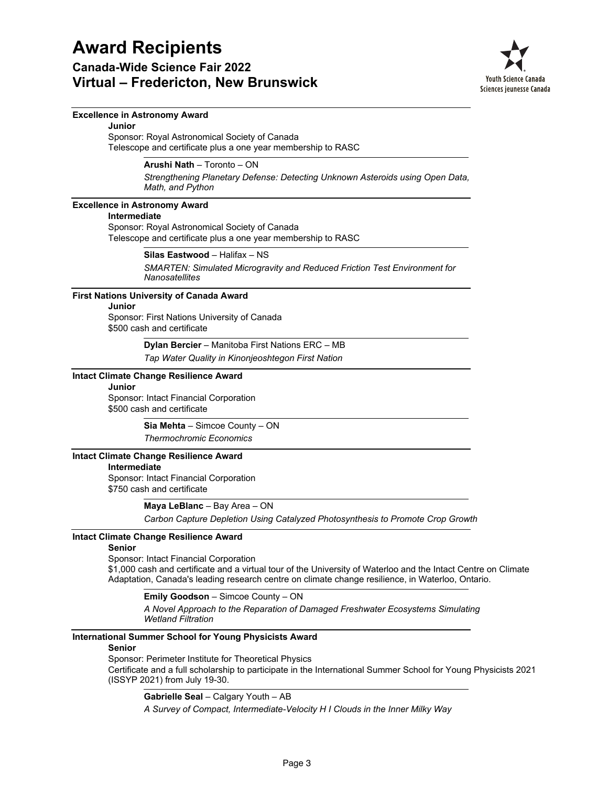**Canada-Wide Science Fair 2022 Virtual – Fredericton, New Brunswick**



### **Excellence in Astronomy Award**

Sponsor: Royal Astronomical Society of Canada Telescope and certificate plus a one year membership to RASC **Junior**

**Arushi Nath** – Toronto – ON

*Strengthening Planetary Defense: Detecting Unknown Asteroids using Open Data, Math, and Python*

### **Excellence in Astronomy Award**

### **Intermediate**

Sponsor: Royal Astronomical Society of Canada Telescope and certificate plus a one year membership to RASC

> *SMARTEN: Simulated Microgravity and Reduced Friction Test Environment for Nanosatellites* **Silas Eastwood** – Halifax – NS

### **First Nations University of Canada Award**

### **Junior**

Sponsor: First Nations University of Canada \$500 cash and certificate

> *Tap Water Quality in Kinonjeoshtegon First Nation* **Dylan Bercier** – Manitoba First Nations ERC – MB

### **Intact Climate Change Resilience Award**

### **Junior**

Sponsor: Intact Financial Corporation \$500 cash and certificate

> *Thermochromic Economics* **Sia Mehta** – Simcoe County – ON

### **Intact Climate Change Resilience Award**

### **Intermediate**

Sponsor: Intact Financial Corporation \$750 cash and certificate

**Maya LeBlanc** – Bay Area – ON

*Carbon Capture Depletion Using Catalyzed Photosynthesis to Promote Crop Growth*

### **Intact Climate Change Resilience Award**

### **Senior**

Sponsor: Intact Financial Corporation \$1,000 cash and certificate and a virtual tour of the University of Waterloo and the Intact Centre on Climate Adaptation, Canada's leading research centre on climate change resilience, in Waterloo, Ontario.

**Emily Goodson** – Simcoe County – ON

*A Novel Approach to the Reparation of Damaged Freshwater Ecosystems Simulating Wetland Filtration*

### **International Summer School for Young Physicists Award**

### **Senior**

Sponsor: Perimeter Institute for Theoretical Physics Certificate and a full scholarship to participate in the International Summer School for Young Physicists 2021 (ISSYP 2021) from July 19-30.

**Gabrielle Seal** – Calgary Youth – AB

*A Survey of Compact, Intermediate-Velocity H I Clouds in the Inner Milky Way*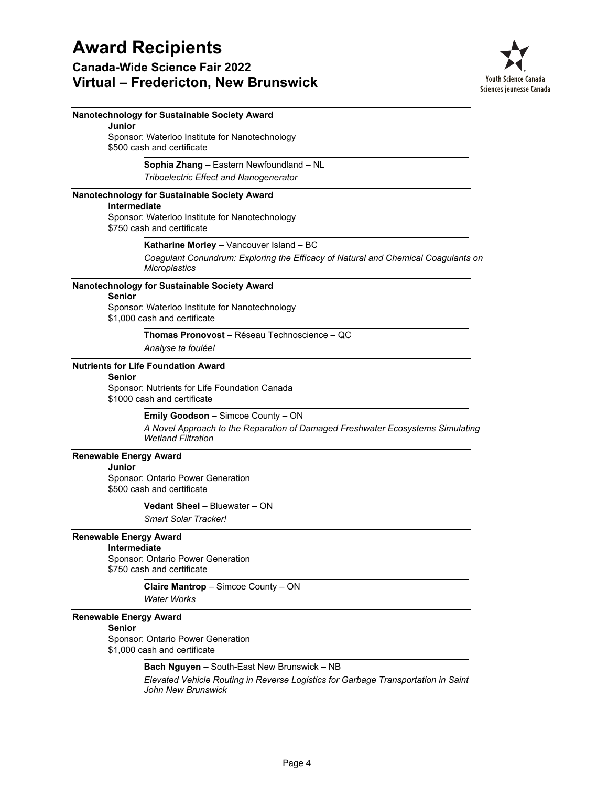

| Nanotechnology for Sustainable Society Award                                                                |
|-------------------------------------------------------------------------------------------------------------|
| Junior<br>Sponsor: Waterloo Institute for Nanotechnology                                                    |
| \$500 cash and certificate                                                                                  |
| Sophia Zhang - Eastern Newfoundland - NL                                                                    |
| Triboelectric Effect and Nanogenerator                                                                      |
| Nanotechnology for Sustainable Society Award                                                                |
| <b>Intermediate</b><br>Sponsor: Waterloo Institute for Nanotechnology<br>\$750 cash and certificate         |
| Katharine Morley - Vancouver Island - BC                                                                    |
| Coagulant Conundrum: Exploring the Efficacy of Natural and Chemical Coagulants on<br>Microplastics          |
| Nanotechnology for Sustainable Society Award<br><b>Senior</b>                                               |
| Sponsor: Waterloo Institute for Nanotechnology<br>\$1,000 cash and certificate                              |
| Thomas Pronovost - Réseau Technoscience - QC                                                                |
| Analyse ta foulée!                                                                                          |
| <b>Nutrients for Life Foundation Award</b><br><b>Senior</b>                                                 |
| Sponsor: Nutrients for Life Foundation Canada<br>\$1000 cash and certificate                                |
| Emily Goodson - Simcoe County - ON                                                                          |
| A Novel Approach to the Reparation of Damaged Freshwater Ecosystems Simulating<br><b>Wetland Filtration</b> |
| <b>Renewable Energy Award</b>                                                                               |
| Junior<br>Sponsor: Ontario Power Generation                                                                 |
| \$500 cash and certificate                                                                                  |
| Vedant Sheel - Bluewater - ON                                                                               |
| <b>Smart Solar Tracker!</b>                                                                                 |
| <b>Renewable Energy Award</b>                                                                               |
| <b>Intermediate</b>                                                                                         |
| Sponsor: Ontario Power Generation<br>\$750 cash and certificate                                             |
| Claire Mantrop - Simcoe County - ON                                                                         |
| <b>Water Works</b>                                                                                          |
| <b>Renewable Energy Award</b><br><b>Senior</b>                                                              |
| Sponsor: Ontario Power Generation<br>\$1,000 cash and certificate                                           |
| Bach Nguyen - South-East New Brunswick - NB                                                                 |
| Elevated Vehicle Routing in Reverse Logistics for Garbage Transportation in Saint<br>John New Brunswick     |
|                                                                                                             |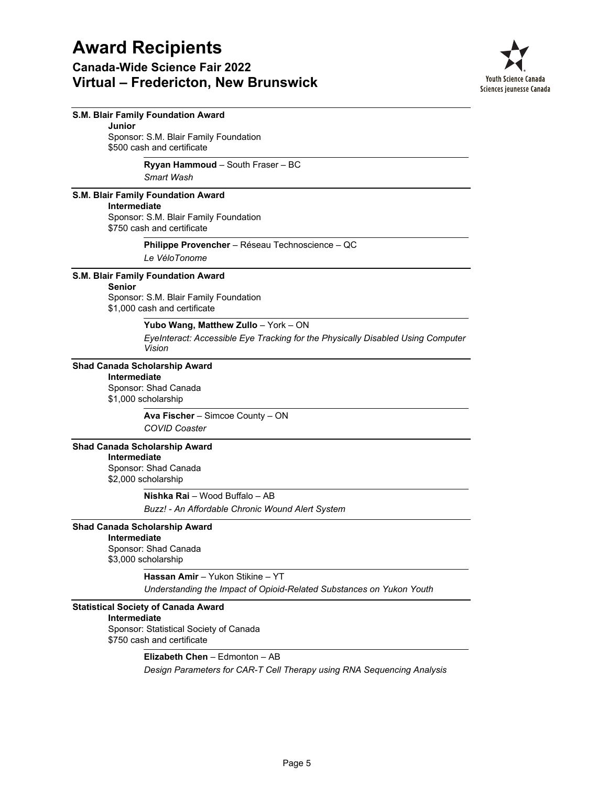

| Junior              | S.M. Blair Family Foundation Award                                                        |
|---------------------|-------------------------------------------------------------------------------------------|
|                     | Sponsor: S.M. Blair Family Foundation                                                     |
|                     | \$500 cash and certificate                                                                |
|                     | Ryyan Hammoud - South Fraser - BC                                                         |
|                     | Smart Wash                                                                                |
|                     | S.M. Blair Family Foundation Award                                                        |
| Intermediate        |                                                                                           |
|                     | Sponsor: S.M. Blair Family Foundation<br>\$750 cash and certificate                       |
|                     | Philippe Provencher - Réseau Technoscience - QC                                           |
|                     | Le VéloTonome                                                                             |
|                     | S.M. Blair Family Foundation Award                                                        |
| <b>Senior</b>       |                                                                                           |
|                     | Sponsor: S.M. Blair Family Foundation<br>\$1,000 cash and certificate                     |
|                     | Yubo Wang, Matthew Zullo - York - ON                                                      |
|                     | EyeInteract: Accessible Eye Tracking for the Physically Disabled Using Computer<br>Vision |
|                     | <b>Shad Canada Scholarship Award</b>                                                      |
| Intermediate        |                                                                                           |
|                     | Sponsor: Shad Canada<br>\$1,000 scholarship                                               |
|                     | Ava Fischer - Simcoe County - ON                                                          |
|                     | <b>COVID Coaster</b>                                                                      |
|                     | <b>Shad Canada Scholarship Award</b>                                                      |
| Intermediate        |                                                                                           |
|                     | Sponsor: Shad Canada                                                                      |
|                     | \$2,000 scholarship                                                                       |
|                     | Nishka Rai - Wood Buffalo - AB                                                            |
|                     | Buzz! - An Affordable Chronic Wound Alert System                                          |
|                     | <b>Shad Canada Scholarship Award</b>                                                      |
| Intermediate        |                                                                                           |
|                     | Sponsor: Shad Canada                                                                      |
|                     | \$3,000 scholarship                                                                       |
|                     | Hassan Amir - Yukon Stikine - YT                                                          |
|                     | Understanding the Impact of Opioid-Related Substances on Yukon Youth                      |
|                     | <b>Statistical Society of Canada Award</b>                                                |
| <b>Intermediate</b> |                                                                                           |
|                     | Sponsor: Statistical Society of Canada<br>\$750 cash and certificate                      |
|                     | Elizabeth Chen - Edmonton - AB                                                            |
|                     | Design Parameters for CAR-T Cell Therapy using RNA Sequencing Analysis                    |
|                     |                                                                                           |
|                     |                                                                                           |
|                     |                                                                                           |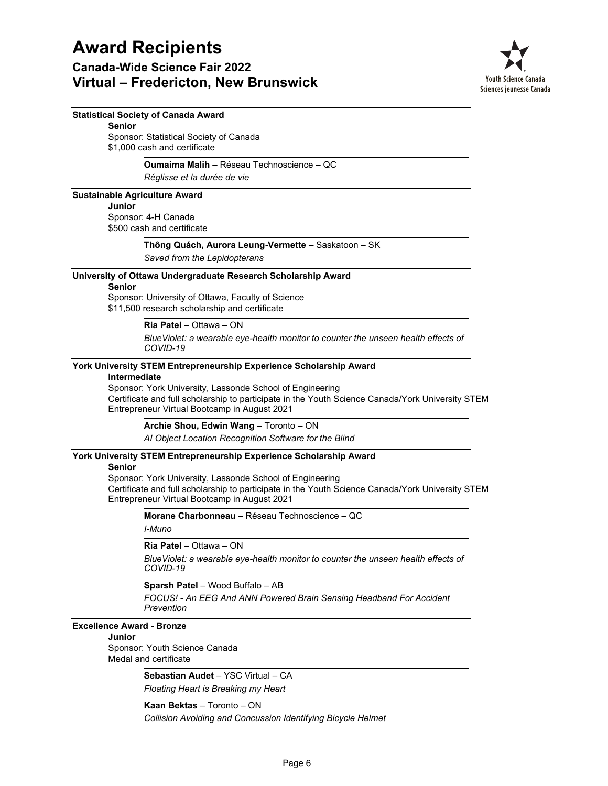### **Canada-Wide Science Fair 2022 Virtual – Fredericton, New Brunswick**



### **Statistical Society of Canada Award**

Sponsor: Statistical Society of Canada \$1,000 cash and certificate **Senior**

#### **Oumaima Malih** – Réseau Technoscience – QC

*Réglisse et la durée de vie*

**Sustainable Agriculture Award** Sponsor: 4-H Canada **Junior**

\$500 cash and certificate

### **Thông Quách, Aurora Leung-Vermette** – Saskatoon – SK

*Saved from the Lepidopterans*

### **University of Ottawa Undergraduate Research Scholarship Award**

#### **Senior**

Sponsor: University of Ottawa, Faculty of Science \$11,500 research scholarship and certificate

**Ria Patel** – Ottawa – ON

*BlueViolet: a wearable eye-health monitor to counter the unseen health effects of COVID-19*

### **York University STEM Entrepreneurship Experience Scholarship Award**

### **Intermediate**

Sponsor: York University, Lassonde School of Engineering Certificate and full scholarship to participate in the Youth Science Canada/York University STEM Entrepreneur Virtual Bootcamp in August 2021

**Archie Shou, Edwin Wang** – Toronto – ON

*AI Object Location Recognition Software for the Blind*

### **York University STEM Entrepreneurship Experience Scholarship Award**

### **Senior**

Sponsor: York University, Lassonde School of Engineering Certificate and full scholarship to participate in the Youth Science Canada/York University STEM Entrepreneur Virtual Bootcamp in August 2021

**Morane Charbonneau** – Réseau Technoscience – QC

*I-Muno*

**Ria Patel** – Ottawa – ON

*BlueViolet: a wearable eye-health monitor to counter the unseen health effects of COVID-19*

**Sparsh Patel** – Wood Buffalo – AB

*FOCUS! - An EEG And ANN Powered Brain Sensing Headband For Accident Prevention*

**Excellence Award - Bronze**

### **Junior**

Sponsor: Youth Science Canada Medal and certificate

> *Floating Heart is Breaking my Heart* **Sebastian Audet** – YSC Virtual – CA

**Kaan Bektas** – Toronto – ON

*Collision Avoiding and Concussion Identifying Bicycle Helmet*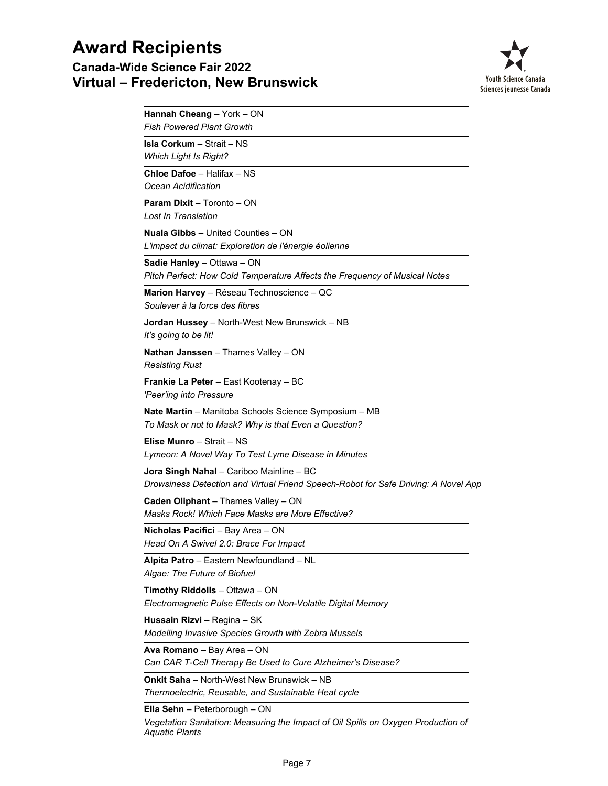## **Award Recipients Canada-Wide Science Fair 2022 Virtual – Fredericton, New Brunswick**



| Hannah Cheang - York - ON<br><b>Fish Powered Plant Growth</b>                                                                        |
|--------------------------------------------------------------------------------------------------------------------------------------|
| <b>Isla Corkum - Strait - NS</b><br><b>Which Light Is Right?</b>                                                                     |
| Chloe Dafoe - Halifax - NS<br>Ocean Acidification                                                                                    |
| <b>Param Dixit - Toronto - ON</b><br>Lost In Translation                                                                             |
| <b>Nuala Gibbs</b> - United Counties - ON<br>L'impact du climat: Exploration de l'énergie éolienne                                   |
| Sadie Hanley - Ottawa - ON<br>Pitch Perfect: How Cold Temperature Affects the Frequency of Musical Notes                             |
| Marion Harvey - Réseau Technoscience - QC<br>Soulever à la force des fibres                                                          |
| Jordan Hussey - North-West New Brunswick - NB<br>It's going to be lit!                                                               |
| Nathan Janssen - Thames Valley - ON<br><b>Resisting Rust</b>                                                                         |
| Frankie La Peter - East Kootenay - BC<br>'Peer'ing into Pressure                                                                     |
| Nate Martin - Manitoba Schools Science Symposium - MB<br>To Mask or not to Mask? Why is that Even a Question?                        |
| Elise Munro - Strait - NS<br>Lymeon: A Novel Way To Test Lyme Disease in Minutes                                                     |
| Jora Singh Nahal - Cariboo Mainline - BC<br>Drowsiness Detection and Virtual Friend Speech-Robot for Safe Driving: A Novel App       |
| Caden Oliphant - Thames Valley - ON<br>Masks Rock! Which Face Masks are More Effective?                                              |
| Nicholas Pacifici - Bay Area - ON<br>Head On A Swivel 2.0: Brace For Impact                                                          |
| Alpita Patro - Eastern Newfoundland - NL<br>Algae: The Future of Biofuel                                                             |
| Timothy Riddolls - Ottawa - ON<br>Electromagnetic Pulse Effects on Non-Volatile Digital Memory                                       |
| Hussain Rizvi - Regina - SK<br>Modelling Invasive Species Growth with Zebra Mussels                                                  |
| Ava Romano - Bay Area - ON<br>Can CAR T-Cell Therapy Be Used to Cure Alzheimer's Disease?                                            |
| <b>Onkit Saha</b> – North-West New Brunswick – NB<br>Thermoelectric, Reusable, and Sustainable Heat cycle                            |
| Ella Sehn - Peterborough - ON<br>Vegetation Sanitation: Measuring the Impact of Oil Spills on Oxygen Production of<br>Aquatic Plants |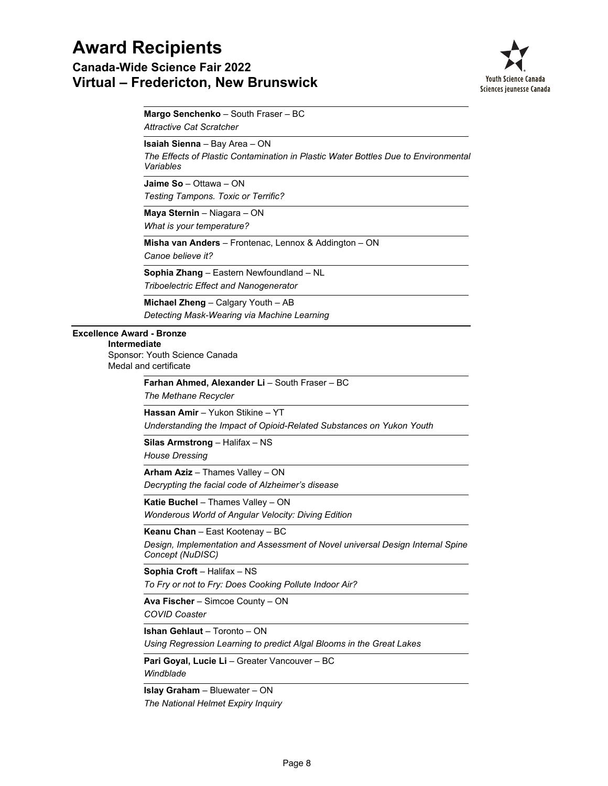**Canada-Wide Science Fair 2022 Virtual – Fredericton, New Brunswick**



*Attractive Cat Scratcher* **Margo Senchenko** – South Fraser – BC

**Isaiah Sienna** – Bay Area – ON

*The Effects of Plastic Contamination in Plastic Water Bottles Due to Environmental Variables*

*Testing Tampons. Toxic or Terrific?* **Jaime So** – Ottawa – ON

*What is your temperature?* **Maya Sternin** – Niagara – ON

*Canoe believe it?* **Misha van Anders** – Frontenac, Lennox & Addington – ON

*Triboelectric Effect and Nanogenerator* **Sophia Zhang** – Eastern Newfoundland – NL

*Detecting Mask-Wearing via Machine Learning* **Michael Zheng** – Calgary Youth – AB

### **Excellence Award - Bronze**

Sponsor: Youth Science Canada Medal and certificate **Intermediate**

> *The Methane Recycler* **Farhan Ahmed, Alexander Li** – South Fraser – BC

*Understanding the Impact of Opioid-Related Substances on Yukon Youth* **Hassan Amir** – Yukon Stikine – YT

*House Dressing* **Silas Armstrong** – Halifax – NS

*Decrypting the facial code of Alzheimer's disease* **Arham Aziz** – Thames Valley – ON

*Wonderous World of Angular Velocity: Diving Edition* **Katie Buchel** – Thames Valley – ON

*Design, Implementation and Assessment of Novel universal Design Internal Spine Concept (NuDISC)* **Keanu Chan** – East Kootenay – BC

**Sophia Croft** – Halifax – NS

*To Fry or not to Fry: Does Cooking Pollute Indoor Air?*

*COVID Coaster* **Ava Fischer** – Simcoe County – ON

*Using Regression Learning to predict Algal Blooms in the Great Lakes* **Ishan Gehlaut** – Toronto – ON

*Windblade* **Pari Goyal, Lucie Li** – Greater Vancouver – BC

*The National Helmet Expiry Inquiry* **Islay Graham** – Bluewater – ON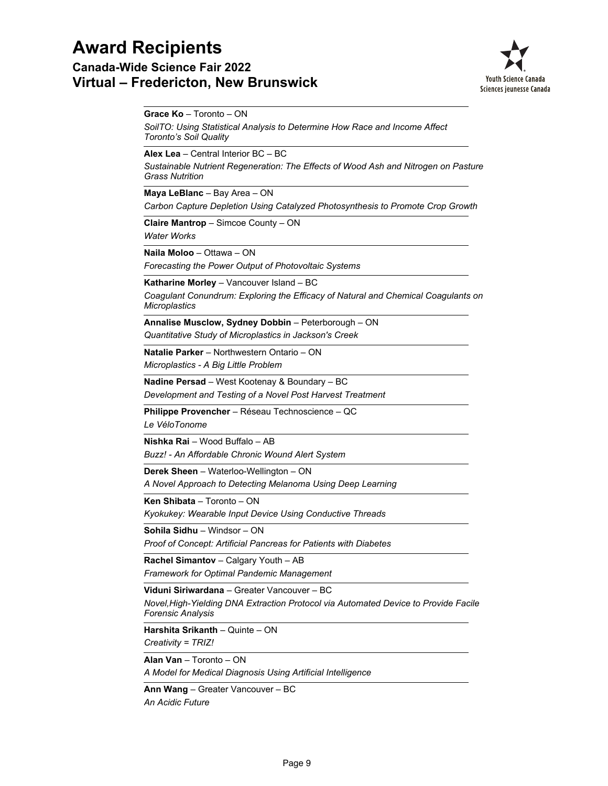**Canada-Wide Science Fair 2022 Virtual – Fredericton, New Brunswick**



**Grace Ko** – Toronto – ON

*SoilTO: Using Statistical Analysis to Determine How Race and Income Affect Toronto's Soil Quality*

**Alex Lea** – Central Interior BC – BC

*Sustainable Nutrient Regeneration: The Effects of Wood Ash and Nitrogen on Pasture Grass Nutrition*

**Maya LeBlanc** – Bay Area – ON

*Carbon Capture Depletion Using Catalyzed Photosynthesis to Promote Crop Growth*

**Claire Mantrop** – Simcoe County – ON

*Water Works*

**Naila Moloo** – Ottawa – ON

*Forecasting the Power Output of Photovoltaic Systems*

**Katharine Morley** – Vancouver Island – BC

*Coagulant Conundrum: Exploring the Efficacy of Natural and Chemical Coagulants on Microplastics*

*Quantitative Study of Microplastics in Jackson's Creek* **Annalise Musclow, Sydney Dobbin** – Peterborough – ON

*Microplastics - A Big Little Problem* **Natalie Parker** – Northwestern Ontario – ON

**Nadine Persad** – West Kootenay & Boundary – BC

*Development and Testing of a Novel Post Harvest Treatment*

**Philippe Provencher** – Réseau Technoscience – QC

*Le VéloTonome*

**Nishka Rai** – Wood Buffalo – AB

*Buzz! - An Affordable Chronic Wound Alert System*

**Derek Sheen** – Waterloo-Wellington – ON

*A Novel Approach to Detecting Melanoma Using Deep Learning*

**Ken Shibata** – Toronto – ON

*Kyokukey: Wearable Input Device Using Conductive Threads*

**Sohila Sidhu** – Windsor – ON

*Proof of Concept: Artificial Pancreas for Patients with Diabetes*

**Rachel Simantov** – Calgary Youth – AB

*Framework for Optimal Pandemic Management*

**Viduni Siriwardana** – Greater Vancouver – BC

*Novel,High-Yielding DNA Extraction Protocol via Automated Device to Provide Facile Forensic Analysis*

*Creativity = TRIZ!* **Harshita Srikanth** – Quinte – ON

**Alan Van** – Toronto – ON

*A Model for Medical Diagnosis Using Artificial Intelligence*

**Ann Wang** – Greater Vancouver – BC

*An Acidic Future*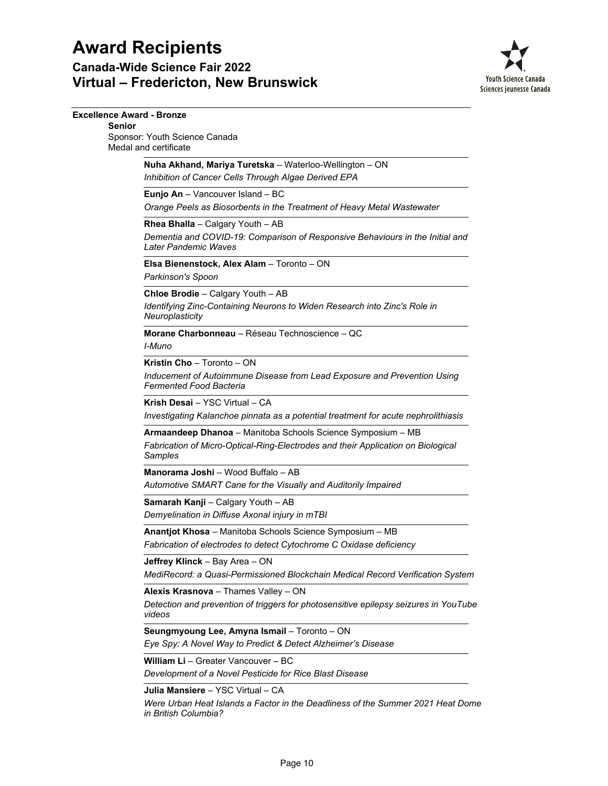**Canada-Wide Science Fair 2022 Virtual – Fredericton, New Brunswick**



| <b>Excellence Award - Bronze</b>       |                                                                                                                                                            |
|----------------------------------------|------------------------------------------------------------------------------------------------------------------------------------------------------------|
| <b>Senior</b><br>Medal and certificate | Sponsor: Youth Science Canada                                                                                                                              |
|                                        | Nuha Akhand, Mariya Turetska - Waterloo-Wellington - ON<br>Inhibition of Cancer Cells Through Algae Derived EPA                                            |
|                                        | Eunjo An - Vancouver Island - BC<br>Orange Peels as Biosorbents in the Treatment of Heavy Metal Wastewater                                                 |
|                                        | Rhea Bhalla - Calgary Youth - AB<br>Dementia and COVID-19: Comparison of Responsive Behaviours in the Initial and<br>Later Pandemic Waves                  |
|                                        | Elsa Bienenstock, Alex Alam - Toronto - ON<br>Parkinson's Spoon                                                                                            |
|                                        | Chloe Brodie - Calgary Youth - AB<br>Identifying Zinc-Containing Neurons to Widen Research into Zinc's Role in<br>Neuroplasticity                          |
|                                        | Morane Charbonneau - Réseau Technoscience - OC<br>I-Muno                                                                                                   |
|                                        | Kristin Cho - Toronto - ON<br>Inducement of Autoimmune Disease from Lead Exposure and Prevention Using<br><b>Fermented Food Bacteria</b>                   |
|                                        | Krish Desai - YSC Virtual - CA<br>Investigating Kalanchoe pinnata as a potential treatment for acute nephrolithiasis                                       |
|                                        | Armaandeep Dhanoa - Manitoba Schools Science Symposium - MB<br>Fabrication of Micro-Optical-Ring-Electrodes and their Application on Biological<br>Samples |
|                                        | <b>Manorama Joshi</b> – Wood Buffalo – AB<br>Automotive SMART Cane for the Visually and Auditorily Impaired                                                |
|                                        | Samarah Kanji - Calgary Youth - AB<br>Demyelination in Diffuse Axonal injury in mTBI                                                                       |
|                                        | Anantjot Khosa - Manitoba Schools Science Symposium - MB<br>Fabrication of electrodes to detect Cytochrome C Oxidase deficiency                            |
|                                        | Jeffrey Klinck - Bay Area - ON<br>MediRecord: a Quasi-Permissioned Blockchain Medical Record Verification System                                           |
|                                        | Alexis Krasnova - Thames Valley - ON<br>Detection and prevention of triggers for photosensitive epilepsy seizures in YouTube<br>videos                     |
|                                        | Seungmyoung Lee, Amyna Ismail - Toronto - ON<br>Eye Spy: A Novel Way to Predict & Detect Alzheimer's Disease                                               |
|                                        | William Li - Greater Vancouver - BC<br>Development of a Novel Pesticide for Rice Blast Disease                                                             |
|                                        | Julia Mansiere - YSC Virtual - CA                                                                                                                          |

*Were Urban Heat Islands a Factor in the Deadliness of the Summer 2021 Heat Dome in British Columbia?*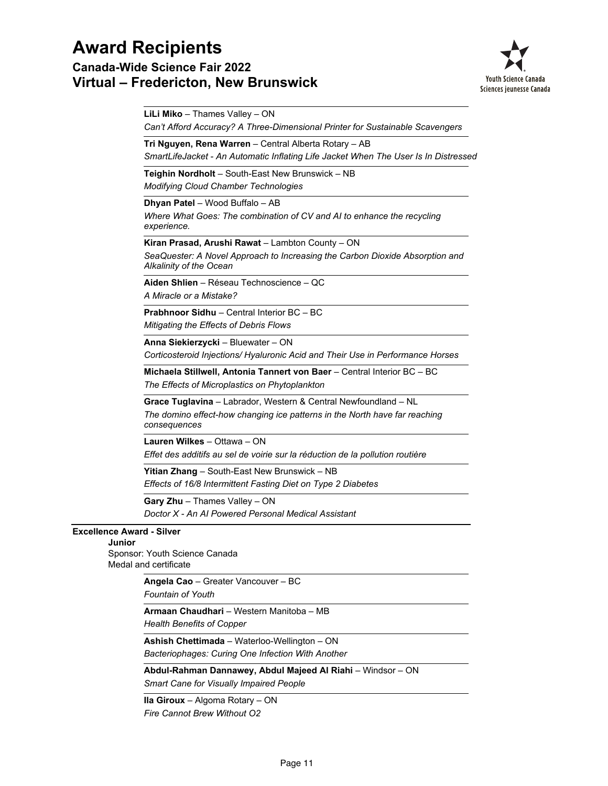**Canada-Wide Science Fair 2022 Virtual – Fredericton, New Brunswick**



|                                            | LiLi Miko - Thames Valley - ON<br>Can't Afford Accuracy? A Three-Dimensional Printer for Sustainable Scavengers                                               |
|--------------------------------------------|---------------------------------------------------------------------------------------------------------------------------------------------------------------|
|                                            | Tri Nguyen, Rena Warren - Central Alberta Rotary - AB<br>SmartLifeJacket - An Automatic Inflating Life Jacket When The User Is In Distressed                  |
|                                            | Teighin Nordholt - South-East New Brunswick - NB<br><b>Modifying Cloud Chamber Technologies</b>                                                               |
|                                            | Dhyan Patel - Wood Buffalo - AB<br>Where What Goes: The combination of CV and AI to enhance the recycling<br>experience.                                      |
|                                            | Kiran Prasad, Arushi Rawat – Lambton County – ON<br>SeaQuester: A Novel Approach to Increasing the Carbon Dioxide Absorption and<br>Alkalinity of the Ocean   |
|                                            | Aiden Shlien - Réseau Technoscience - QC<br>A Miracle or a Mistake?                                                                                           |
|                                            | <b>Prabhnoor Sidhu</b> – Central Interior BC – BC<br>Mitigating the Effects of Debris Flows                                                                   |
|                                            | Anna Siekierzycki - Bluewater - ON<br>Corticosteroid Injections/ Hyaluronic Acid and Their Use in Performance Horses                                          |
|                                            | Michaela Stillwell, Antonia Tannert von Baer - Central Interior BC - BC<br>The Effects of Microplastics on Phytoplankton                                      |
|                                            | Grace Tuglavina - Labrador, Western & Central Newfoundland - NL<br>The domino effect-how changing ice patterns in the North have far reaching<br>consequences |
|                                            | Lauren Wilkes - Ottawa - ON<br>Effet des additifs au sel de voirie sur la réduction de la pollution routière                                                  |
|                                            | Yitian Zhang - South-East New Brunswick - NB<br>Effects of 16/8 Intermittent Fasting Diet on Type 2 Diabetes                                                  |
|                                            | Gary Zhu - Thames Valley - ON<br>Doctor X - An Al Powered Personal Medical Assistant                                                                          |
| <b>Excellence Award - Silver</b><br>Junior | Sponsor: Youth Science Canada<br>Medal and certificate                                                                                                        |
|                                            | Angela Cao - Greater Vancouver - BC<br>Fountain of Youth                                                                                                      |
|                                            | Armaan Chaudhari - Western Manitoba - MB<br><b>Health Benefits of Copper</b>                                                                                  |
|                                            | Ashish Chettimada - Waterloo-Wellington - ON<br>Bacteriophages: Curing One Infection With Another                                                             |

*Smart Cane for Visually Impaired People* **Abdul-Rahman Dannawey, Abdul Majeed Al Riahi** – Windsor – ON

*Fire Cannot Brew Without O2* **Ila Giroux** – Algoma Rotary – ON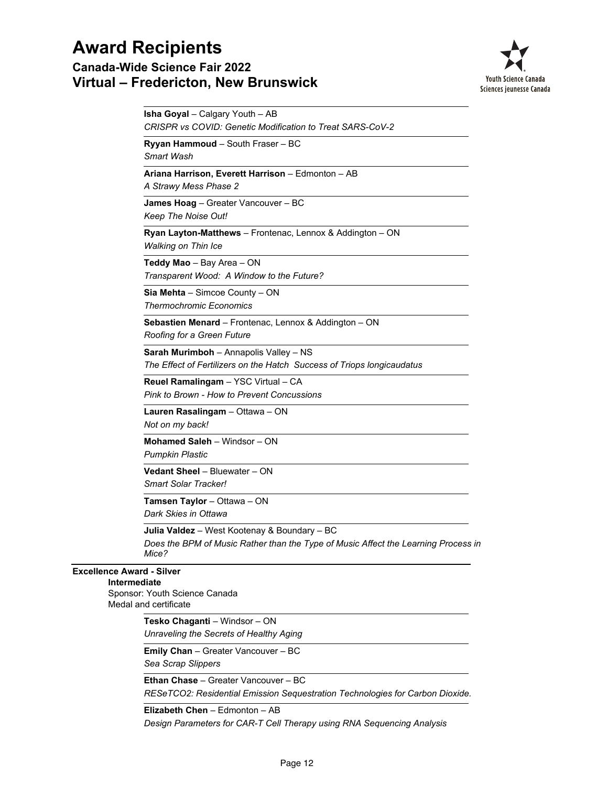### **Canada-Wide Science Fair 2022 Virtual – Fredericton, New Brunswick**



|                                                  | <b>Isha Goyal</b> – Calgary Youth – AB<br><b>CRISPR vs COVID: Genetic Modification to Treat SARS-CoV-2</b>                                  |
|--------------------------------------------------|---------------------------------------------------------------------------------------------------------------------------------------------|
|                                                  | Ryyan Hammoud - South Fraser - BC<br>Smart Wash                                                                                             |
|                                                  | Ariana Harrison, Everett Harrison - Edmonton - AB<br>A Strawy Mess Phase 2                                                                  |
|                                                  | James Hoag - Greater Vancouver - BC<br>Keep The Noise Out!                                                                                  |
|                                                  | Ryan Layton-Matthews - Frontenac, Lennox & Addington - ON<br><b>Walking on Thin Ice</b>                                                     |
|                                                  | Teddy Mao - Bay Area - ON<br>Transparent Wood: A Window to the Future?                                                                      |
|                                                  | <b>Sia Mehta</b> $-$ Simcoe County $-$ ON<br><b>Thermochromic Economics</b>                                                                 |
|                                                  | Sebastien Menard - Frontenac, Lennox & Addington - ON<br>Roofing for a Green Future                                                         |
|                                                  | <b>Sarah Murimboh</b> – Annapolis Valley – NS<br>The Effect of Fertilizers on the Hatch Success of Triops longicaudatus                     |
|                                                  | Reuel Ramalingam - YSC Virtual - CA<br>Pink to Brown - How to Prevent Concussions                                                           |
|                                                  | Lauren Rasalingam - Ottawa - ON<br>Not on my back!                                                                                          |
|                                                  | Mohamed Saleh - Windsor - ON<br><b>Pumpkin Plastic</b>                                                                                      |
|                                                  | Vedant Sheel - Bluewater - ON<br>Smart Solar Tracker!                                                                                       |
|                                                  | Tamsen Taylor - Ottawa - ON<br>Dark Skies in Ottawa                                                                                         |
|                                                  | Julia Valdez - West Kootenay & Boundary - BC<br>Does the BPM of Music Rather than the Type of Music Affect the Learning Process in<br>Mice? |
| <b>Excellence Award - Silver</b><br>Intermediate | Sponsor: Youth Science Canada<br>Medal and certificate                                                                                      |
|                                                  | Tesko Chaganti - Windsor - ON<br>Unraveling the Secrets of Healthy Aging                                                                    |
|                                                  | Emily Chan - Greater Vancouver - BC<br>Sea Scrap Slippers                                                                                   |
|                                                  | <b>Ethan Chase - Greater Vancouver - BC</b><br>RESeTCO2: Residential Emission Sequestration Technologies for Carbon Dioxide.                |

*Design Parameters for CAR-T Cell Therapy using RNA Sequencing Analysis* **Elizabeth Chen** – Edmonton – AB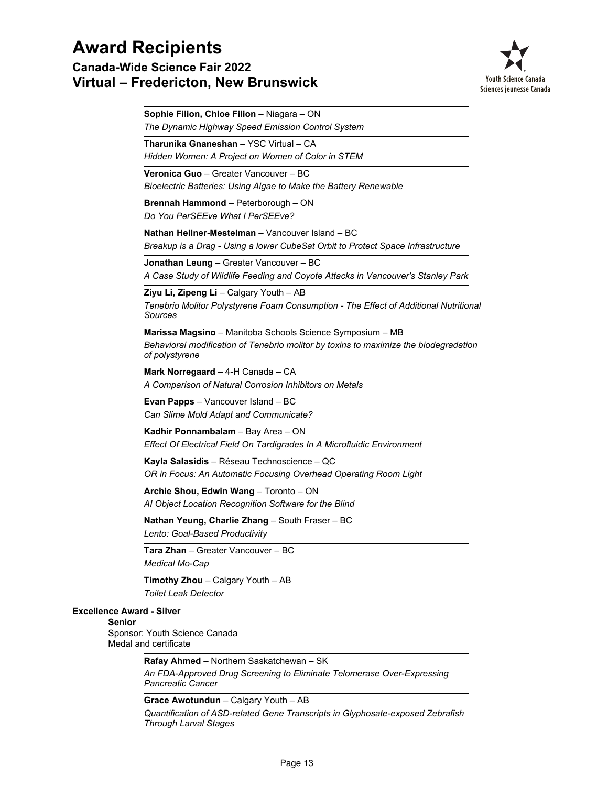**Canada-Wide Science Fair 2022 Virtual – Fredericton, New Brunswick**



|                                                   | Sophie Filion, Chloe Filion - Niagara - ON                                                                                                                          |
|---------------------------------------------------|---------------------------------------------------------------------------------------------------------------------------------------------------------------------|
|                                                   | The Dynamic Highway Speed Emission Control System                                                                                                                   |
|                                                   | Tharunika Gnaneshan - YSC Virtual - CA<br>Hidden Women: A Project on Women of Color in STEM                                                                         |
|                                                   | Veronica Guo - Greater Vancouver - BC<br>Bioelectric Batteries: Using Algae to Make the Battery Renewable                                                           |
|                                                   | <b>Brennah Hammond</b> – Peterborough – ON<br>Do You PerSEEve What I PerSEEve?                                                                                      |
|                                                   | Nathan Hellner-Mestelman - Vancouver Island - BC<br>Breakup is a Drag - Using a lower CubeSat Orbit to Protect Space Infrastructure                                 |
|                                                   | Jonathan Leung - Greater Vancouver - BC<br>A Case Study of Wildlife Feeding and Coyote Attacks in Vancouver's Stanley Park                                          |
|                                                   | Ziyu Li, Zipeng Li - Calgary Youth - AB<br>Tenebrio Molitor Polystyrene Foam Consumption - The Effect of Additional Nutritional<br>Sources                          |
|                                                   | Marissa Magsino - Manitoba Schools Science Symposium - MB<br>Behavioral modification of Tenebrio molitor by toxins to maximize the biodegradation<br>of polystyrene |
|                                                   | Mark Norregaard - 4-H Canada - CA<br>A Comparison of Natural Corrosion Inhibitors on Metals                                                                         |
|                                                   | Evan Papps - Vancouver Island - BC<br>Can Slime Mold Adapt and Communicate?                                                                                         |
|                                                   | Kadhir Ponnambalam - Bay Area - ON<br>Effect Of Electrical Field On Tardigrades In A Microfluidic Environment                                                       |
|                                                   | Kayla Salasidis - Réseau Technoscience - QC<br>OR in Focus: An Automatic Focusing Overhead Operating Room Light                                                     |
|                                                   | Archie Shou, Edwin Wang - Toronto - ON<br>Al Object Location Recognition Software for the Blind                                                                     |
|                                                   | Nathan Yeung, Charlie Zhang - South Fraser - BC<br>Lento: Goal-Based Productivity                                                                                   |
|                                                   | Tara Zhan - Greater Vancouver - BC<br>Medical Mo-Cap                                                                                                                |
|                                                   | Timothy Zhou - Calgary Youth - AB<br><b>Toilet Leak Detector</b>                                                                                                    |
| <b>Excellence Award - Silver</b><br><b>Senior</b> |                                                                                                                                                                     |
|                                                   | Sponsor: Youth Science Canada<br>Medal and certificate                                                                                                              |
|                                                   | Rafay Ahmed - Northern Saskatchewan - SK                                                                                                                            |
|                                                   | An FDA-Approved Drug Screening to Eliminate Telomerase Over-Expressing<br><b>Pancreatic Cancer</b>                                                                  |
|                                                   |                                                                                                                                                                     |

**Grace Awotundun** – Calgary Youth – AB

*Quantification of ASD-related Gene Transcripts in Glyphosate-exposed Zebrafish Through Larval Stages*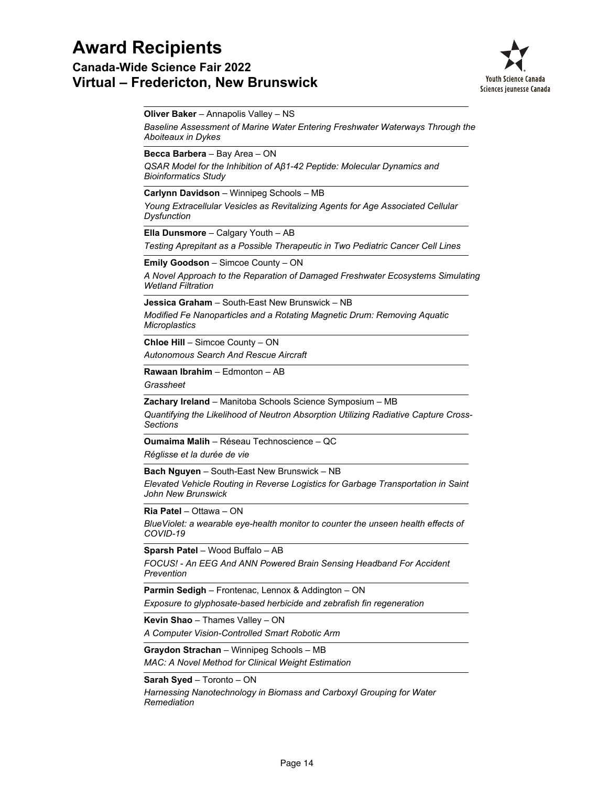**Canada-Wide Science Fair 2022 Virtual – Fredericton, New Brunswick**



**Oliver Baker** – Annapolis Valley – NS

*Baseline Assessment of Marine Water Entering Freshwater Waterways Through the Aboiteaux in Dykes*

**Becca Barbera** – Bay Area – ON

*QSAR Model for the Inhibition of Aβ1-42 Peptide: Molecular Dynamics and Bioinformatics Study*

**Carlynn Davidson** – Winnipeg Schools – MB

*Young Extracellular Vesicles as Revitalizing Agents for Age Associated Cellular Dysfunction*

**Ella Dunsmore** – Calgary Youth – AB

*Testing Aprepitant as a Possible Therapeutic in Two Pediatric Cancer Cell Lines*

**Emily Goodson** – Simcoe County – ON

*A Novel Approach to the Reparation of Damaged Freshwater Ecosystems Simulating Wetland Filtration*

*Modified Fe Nanoparticles and a Rotating Magnetic Drum: Removing Aquatic Microplastics* **Jessica Graham** – South-East New Brunswick – NB

*Autonomous Search And Rescue Aircraft* **Chloe Hill** – Simcoe County – ON

**Rawaan Ibrahim** – Edmonton – AB

*Grassheet*

**Zachary Ireland** – Manitoba Schools Science Symposium – MB

*Quantifying the Likelihood of Neutron Absorption Utilizing Radiative Capture Cross-Sections*

**Oumaima Malih** – Réseau Technoscience – QC

*Réglisse et la durée de vie*

**Bach Nguyen** – South-East New Brunswick – NB

*Elevated Vehicle Routing in Reverse Logistics for Garbage Transportation in Saint John New Brunswick*

**Ria Patel** – Ottawa – ON

*BlueViolet: a wearable eye-health monitor to counter the unseen health effects of COVID-19*

**Sparsh Patel** – Wood Buffalo – AB

*FOCUS! - An EEG And ANN Powered Brain Sensing Headband For Accident Prevention*

**Parmin Sedigh** – Frontenac, Lennox & Addington – ON

*Exposure to glyphosate-based herbicide and zebrafish fin regeneration*

**Kevin Shao** – Thames Valley – ON

*A Computer Vision-Controlled Smart Robotic Arm*

**Graydon Strachan** – Winnipeg Schools – MB

*MAC: A Novel Method for Clinical Weight Estimation*

**Sarah Syed** – Toronto – ON

*Harnessing Nanotechnology in Biomass and Carboxyl Grouping for Water Remediation*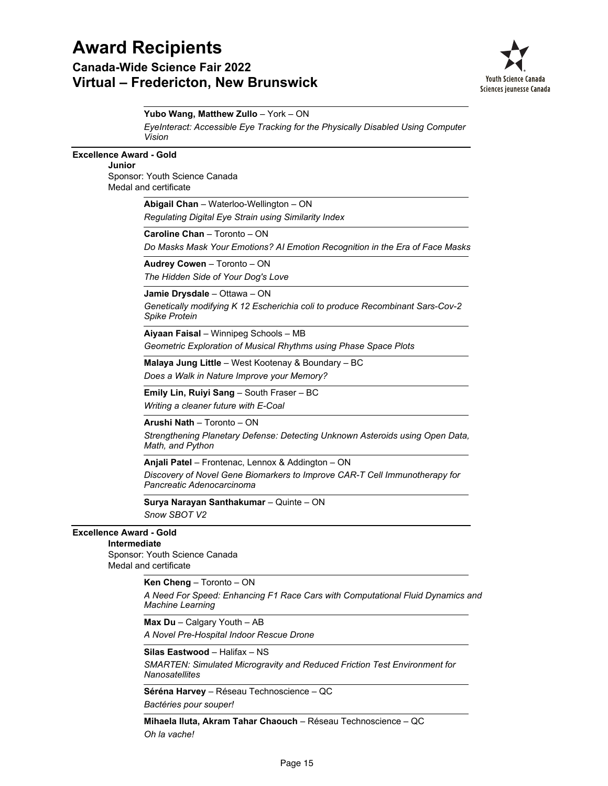## **Award Recipients Canada-Wide Science Fair 2022 Virtual – Fredericton, New Brunswick**



|                                | Yubo Wang, Matthew Zullo - York - ON                                                                                                                         |
|--------------------------------|--------------------------------------------------------------------------------------------------------------------------------------------------------------|
|                                | EyeInteract: Accessible Eye Tracking for the Physically Disabled Using Computer<br>Vision                                                                    |
| <b>Excellence Award - Gold</b> |                                                                                                                                                              |
| Junior                         |                                                                                                                                                              |
|                                | Sponsor: Youth Science Canada<br>Medal and certificate                                                                                                       |
|                                | Abigail Chan - Waterloo-Wellington - ON                                                                                                                      |
|                                | Regulating Digital Eye Strain using Similarity Index                                                                                                         |
|                                | Caroline Chan - Toronto - ON                                                                                                                                 |
|                                | Do Masks Mask Your Emotions? AI Emotion Recognition in the Era of Face Masks                                                                                 |
|                                | Audrey Cowen - Toronto - ON                                                                                                                                  |
|                                | The Hidden Side of Your Dog's Love                                                                                                                           |
|                                | Jamie Drysdale - Ottawa - ON                                                                                                                                 |
|                                | Genetically modifying K 12 Escherichia coli to produce Recombinant Sars-Cov-2<br><b>Spike Protein</b>                                                        |
|                                | Aiyaan Faisal - Winnipeg Schools - MB<br>Geometric Exploration of Musical Rhythms using Phase Space Plots                                                    |
|                                | Malaya Jung Little - West Kootenay & Boundary - BC<br>Does a Walk in Nature Improve your Memory?                                                             |
|                                | Emily Lin, Ruiyi Sang - South Fraser - BC<br>Writing a cleaner future with E-Coal                                                                            |
|                                | Arushi Nath - Toronto - ON                                                                                                                                   |
|                                | Strengthening Planetary Defense: Detecting Unknown Asteroids using Open Data,<br>Math, and Python                                                            |
|                                | Anjali Patel - Frontenac, Lennox & Addington - ON<br>Discovery of Novel Gene Biomarkers to Improve CAR-T Cell Immunotherapy for<br>Pancreatic Adenocarcinoma |
|                                | Surya Narayan Santhakumar - Quinte - ON<br>Snow SBOT V2                                                                                                      |
| <b>Excellence Award - Gold</b> |                                                                                                                                                              |
| Intermediate                   |                                                                                                                                                              |
|                                | Sponsor: Youth Science Canada<br>Medal and certificate                                                                                                       |
|                                | Ken Cheng - Toronto - ON                                                                                                                                     |
|                                | A Need For Speed: Enhancing F1 Race Cars with Computational Fluid Dynamics and<br><b>Machine Learning</b>                                                    |
|                                | Max Du - Calgary Youth - AB                                                                                                                                  |
|                                | A Novel Pre-Hospital Indoor Rescue Drone                                                                                                                     |
|                                | Silas Eastwood - Halifax - NS                                                                                                                                |
|                                | SMARTEN: Simulated Microgravity and Reduced Friction Test Environment for<br>Nanosatellites                                                                  |
|                                | Séréna Harvey – Réseau Technoscience – QC                                                                                                                    |
|                                | Bactéries pour souper!                                                                                                                                       |
|                                | Mihaela Iluta, Akram Tahar Chaouch - Réseau Technoscience - QC                                                                                               |

*Oh la vache!*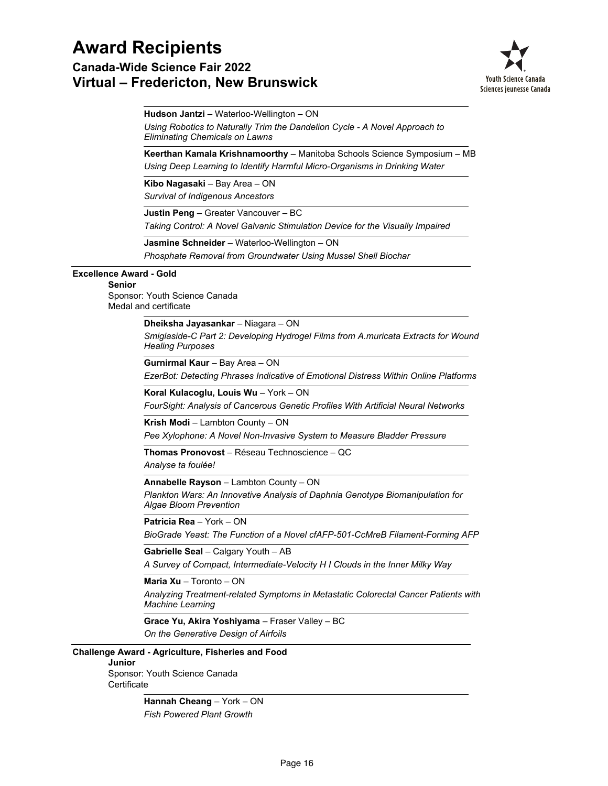**Canada-Wide Science Fair 2022 Virtual – Fredericton, New Brunswick**



**Hudson Jantzi** – Waterloo-Wellington – ON

*Using Robotics to Naturally Trim the Dandelion Cycle - A Novel Approach to Eliminating Chemicals on Lawns*

*Using Deep Learning to Identify Harmful Micro-Organisms in Drinking Water* **Keerthan Kamala Krishnamoorthy** – Manitoba Schools Science Symposium – MB

*Survival of Indigenous Ancestors* **Kibo Nagasaki** – Bay Area – ON

**Justin Peng** – Greater Vancouver – BC

*Taking Control: A Novel Galvanic Stimulation Device for the Visually Impaired*

*Phosphate Removal from Groundwater Using Mussel Shell Biochar* **Jasmine Schneider** – Waterloo-Wellington – ON

### **Excellence Award - Gold**

### **Senior**

Sponsor: Youth Science Canada Medal and certificate

**Dheiksha Jayasankar** – Niagara – ON

*Smiglaside-C Part 2: Developing Hydrogel Films from A.muricata Extracts for Wound Healing Purposes*

*EzerBot: Detecting Phrases Indicative of Emotional Distress Within Online Platforms* **Gurnirmal Kaur** – Bay Area – ON

*FourSight: Analysis of Cancerous Genetic Profiles With Artificial Neural Networks* **Koral Kulacoglu, Louis Wu** – York – ON

**Krish Modi** – Lambton County – ON

*Pee Xylophone: A Novel Non-Invasive System to Measure Bladder Pressure*

*Analyse ta foulée!* **Thomas Pronovost** – Réseau Technoscience – QC

**Annabelle Rayson** – Lambton County – ON

*Plankton Wars: An Innovative Analysis of Daphnia Genotype Biomanipulation for Algae Bloom Prevention*

**Patricia Rea** – York – ON

*BioGrade Yeast: The Function of a Novel cfAFP-501-CcMreB Filament-Forming AFP*

**Gabrielle Seal** – Calgary Youth – AB

*A Survey of Compact, Intermediate-Velocity H I Clouds in the Inner Milky Way*

**Maria Xu** – Toronto – ON

*Analyzing Treatment-related Symptoms in Metastatic Colorectal Cancer Patients with Machine Learning*

*On the Generative Design of Airfoils* **Grace Yu, Akira Yoshiyama** – Fraser Valley – BC

### **Challenge Award - Agriculture, Fisheries and Food**

#### **Junior**

Sponsor: Youth Science Canada **Certificate** 

> *Fish Powered Plant Growth* **Hannah Cheang** – York – ON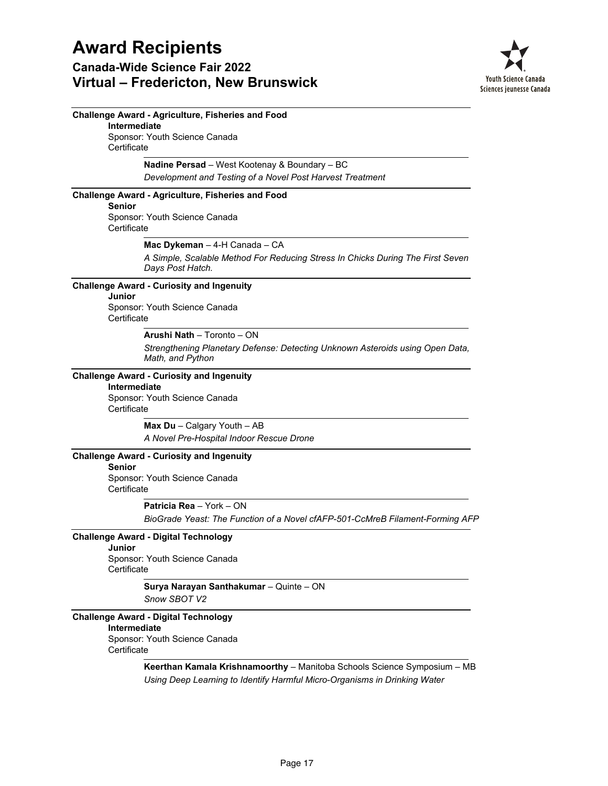

| <b>Challenge Award - Agriculture, Fisheries and Food</b>                                           |
|----------------------------------------------------------------------------------------------------|
| Intermediate                                                                                       |
| Sponsor: Youth Science Canada<br>Certificate                                                       |
| Nadine Persad - West Kootenay & Boundary - BC                                                      |
| Development and Testing of a Novel Post Harvest Treatment                                          |
| <b>Challenge Award - Agriculture, Fisheries and Food</b><br><b>Senior</b>                          |
| Sponsor: Youth Science Canada<br>Certificate                                                       |
| Mac Dykeman - 4-H Canada - CA                                                                      |
| A Simple, Scalable Method For Reducing Stress In Chicks During The First Seven<br>Days Post Hatch. |
| <b>Challenge Award - Curiosity and Ingenuity</b>                                                   |
| Junior                                                                                             |
| Sponsor: Youth Science Canada<br>Certificate                                                       |
| Arushi Nath - Toronto - ON                                                                         |
| Strengthening Planetary Defense: Detecting Unknown Asteroids using Open Data,<br>Math, and Python  |
| <b>Challenge Award - Curiosity and Ingenuity</b>                                                   |
| Intermediate                                                                                       |
| Sponsor: Youth Science Canada<br>Certificate                                                       |
| Max Du - Calgary Youth - AB                                                                        |
| A Novel Pre-Hospital Indoor Rescue Drone                                                           |
| <b>Challenge Award - Curiosity and Ingenuity</b><br><b>Senior</b>                                  |
| Sponsor: Youth Science Canada<br>Certificate                                                       |
| Patricia Rea - York - ON                                                                           |
| BioGrade Yeast: The Function of a Novel cfAFP-501-CcMreB Filament-Forming AFP                      |
| <b>Challenge Award - Digital Technology</b>                                                        |
| Junior                                                                                             |
| Sponsor: Youth Science Canada<br>Certificate                                                       |
| Surya Narayan Santhakumar - Quinte - ON                                                            |
| Snow SBOT V2                                                                                       |
| <b>Challenge Award - Digital Technology</b>                                                        |
| Intermediate                                                                                       |
| Sponsor: Youth Science Canada<br>Certificate                                                       |
| Keerthan Kamala Krishnamoorthy - Manitoba Schools Science Symposium - MB                           |
| Using Deep Learning to Identify Harmful Micro-Organisms in Drinking Water                          |
|                                                                                                    |
|                                                                                                    |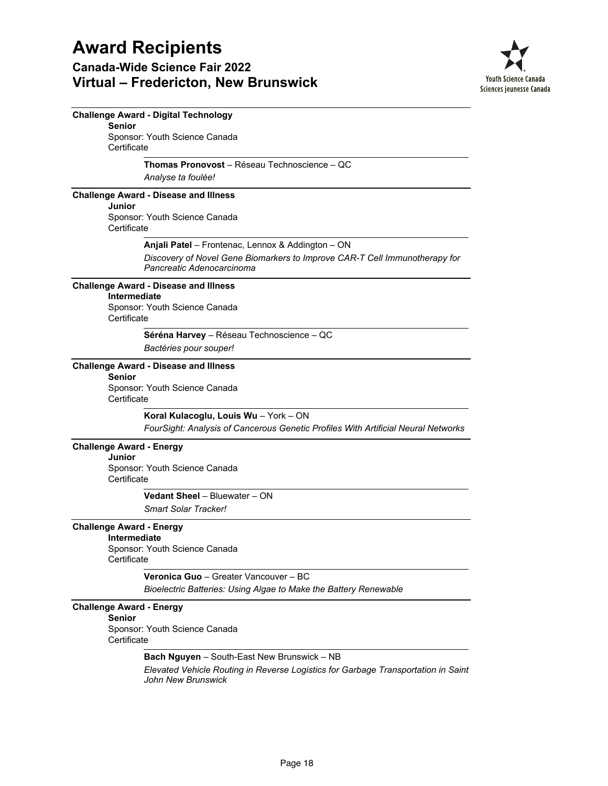

|                                           | <b>Challenge Award - Digital Technology</b>                                                             |
|-------------------------------------------|---------------------------------------------------------------------------------------------------------|
| <b>Senior</b>                             | Sponsor: Youth Science Canada                                                                           |
| Certificate                               |                                                                                                         |
|                                           | Thomas Pronovost - Réseau Technoscience - OC                                                            |
|                                           | Analyse ta foulée!                                                                                      |
|                                           | <b>Challenge Award - Disease and Illness</b>                                                            |
| Junior                                    |                                                                                                         |
| Certificate                               | Sponsor: Youth Science Canada                                                                           |
|                                           | Anjali Patel - Frontenac, Lennox & Addington - ON                                                       |
|                                           | Discovery of Novel Gene Biomarkers to Improve CAR-T Cell Immunotherapy for<br>Pancreatic Adenocarcinoma |
|                                           | <b>Challenge Award - Disease and Illness</b>                                                            |
| <b>Intermediate</b>                       | Sponsor: Youth Science Canada                                                                           |
| Certificate                               |                                                                                                         |
|                                           | Séréna Harvey - Réseau Technoscience - QC                                                               |
|                                           | Bactéries pour souper!                                                                                  |
|                                           | <b>Challenge Award - Disease and Illness</b>                                                            |
| <b>Senior</b>                             | Sponsor: Youth Science Canada                                                                           |
| Certificate                               |                                                                                                         |
|                                           | Koral Kulacoglu, Louis Wu - York - ON                                                                   |
|                                           | FourSight: Analysis of Cancerous Genetic Profiles With Artificial Neural Networks                       |
| <b>Challenge Award - Energy</b><br>Junior |                                                                                                         |
|                                           | Sponsor: Youth Science Canada                                                                           |
| Certificate                               |                                                                                                         |
|                                           | Vedant Sheel - Bluewater - ON                                                                           |
|                                           | Smart Solar Tracker!                                                                                    |
| <b>Challenge Award - Energy</b>           |                                                                                                         |
| Intermediate                              | Sponsor: Youth Science Canada                                                                           |
| Certificate                               |                                                                                                         |
|                                           | Veronica Guo - Greater Vancouver - BC                                                                   |
|                                           | Bioelectric Batteries: Using Algae to Make the Battery Renewable                                        |
| <b>Challenge Award - Energy</b>           |                                                                                                         |
| <b>Senior</b>                             |                                                                                                         |
| Certificate                               | Sponsor: Youth Science Canada                                                                           |
|                                           | <b>Bach Nguyen</b> – South-East New Brunswick – NB                                                      |
|                                           | Elevated Vehicle Routing in Reverse Logistics for Garbage Transportation in Saint<br>John New Brunswick |
|                                           |                                                                                                         |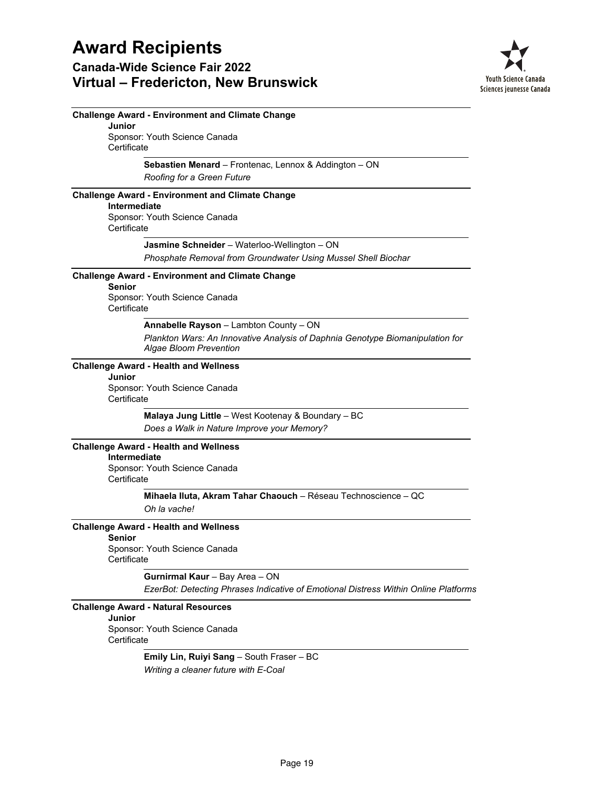

|                       | <b>Challenge Award - Environment and Climate Change</b>                                                 |
|-----------------------|---------------------------------------------------------------------------------------------------------|
| Junior                |                                                                                                         |
| Certificate           | Sponsor: Youth Science Canada                                                                           |
|                       | Sebastien Menard - Frontenac, Lennox & Addington - ON                                                   |
|                       | Roofing for a Green Future                                                                              |
|                       | <b>Challenge Award - Environment and Climate Change</b>                                                 |
| <b>Intermediate</b>   | Sponsor: Youth Science Canada                                                                           |
| Certificate           |                                                                                                         |
|                       | Jasmine Schneider - Waterloo-Wellington - ON                                                            |
|                       | Phosphate Removal from Groundwater Using Mussel Shell Biochar                                           |
| <b>Senior</b>         | <b>Challenge Award - Environment and Climate Change</b>                                                 |
| Certificate           | Sponsor: Youth Science Canada                                                                           |
|                       | Annabelle Rayson - Lambton County - ON                                                                  |
|                       | Plankton Wars: An Innovative Analysis of Daphnia Genotype Biomanipulation for<br>Algae Bloom Prevention |
|                       | <b>Challenge Award - Health and Wellness</b>                                                            |
| Junior<br>Certificate | Sponsor: Youth Science Canada                                                                           |
|                       | Malaya Jung Little - West Kootenay & Boundary - BC                                                      |
|                       | Does a Walk in Nature Improve your Memory?                                                              |
|                       | <b>Challenge Award - Health and Wellness</b>                                                            |
| Intermediate          |                                                                                                         |
| Certificate           | Sponsor: Youth Science Canada                                                                           |
|                       | Mihaela Iluta, Akram Tahar Chaouch - Réseau Technoscience - QC                                          |
|                       | Oh la vache!                                                                                            |
| <b>Senior</b>         | <b>Challenge Award - Health and Wellness</b>                                                            |
|                       | Sponsor: Youth Science Canada                                                                           |
| Certificate           |                                                                                                         |
|                       | Gurnirmal Kaur - Bay Area - ON                                                                          |
|                       | EzerBot: Detecting Phrases Indicative of Emotional Distress Within Online Platforms                     |
| Junior                | <b>Challenge Award - Natural Resources</b>                                                              |
| Certificate           | Sponsor: Youth Science Canada                                                                           |
|                       | Emily Lin, Ruiyi Sang - South Fraser - BC                                                               |
|                       | Writing a cleaner future with E-Coal                                                                    |
|                       |                                                                                                         |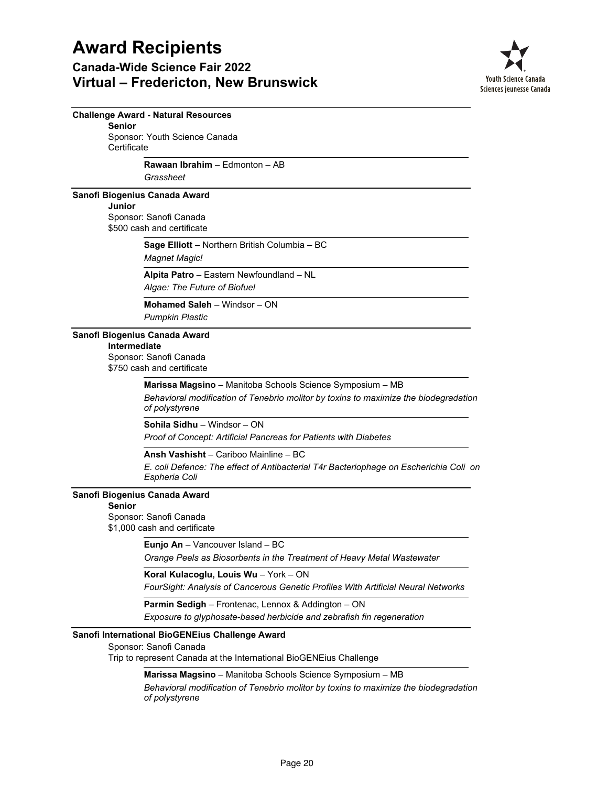

|                                                                                                       | <b>Challenge Award - Natural Resources</b>                                                                                                                          |  |
|-------------------------------------------------------------------------------------------------------|---------------------------------------------------------------------------------------------------------------------------------------------------------------------|--|
| <b>Senior</b><br>Sponsor: Youth Science Canada                                                        |                                                                                                                                                                     |  |
| Certificate                                                                                           |                                                                                                                                                                     |  |
|                                                                                                       | <b>Rawaan Ibrahim - Edmonton - AB</b><br>Grassheet                                                                                                                  |  |
|                                                                                                       | Sanofi Biogenius Canada Award                                                                                                                                       |  |
| <b>Junior</b>                                                                                         | Sponsor: Sanofi Canada<br>\$500 cash and certificate                                                                                                                |  |
|                                                                                                       | Sage Elliott - Northern British Columbia - BC<br><b>Magnet Magic!</b>                                                                                               |  |
|                                                                                                       | Alpita Patro - Eastern Newfoundland - NL<br>Algae: The Future of Biofuel                                                                                            |  |
|                                                                                                       | Mohamed Saleh - Windsor - ON<br><b>Pumpkin Plastic</b>                                                                                                              |  |
| Sanofi Biogenius Canada Award<br>Intermediate<br>Sponsor: Sanofi Canada<br>\$750 cash and certificate |                                                                                                                                                                     |  |
|                                                                                                       | Marissa Magsino - Manitoba Schools Science Symposium - MB<br>Behavioral modification of Tenebrio molitor by toxins to maximize the biodegradation<br>of polystyrene |  |
|                                                                                                       | Sohila Sidhu - Windsor - ON<br>Proof of Concept: Artificial Pancreas for Patients with Diabetes                                                                     |  |
|                                                                                                       | Ansh Vashisht - Cariboo Mainline - BC                                                                                                                               |  |
|                                                                                                       | E. coli Defence: The effect of Antibacterial T4r Bacteriophage on Escherichia Coli on<br>Espheria Coli                                                              |  |
|                                                                                                       | Sanofi Biogenius Canada Award                                                                                                                                       |  |
| <b>Senior</b>                                                                                         | Sponsor: Sanofi Canada<br>\$1,000 cash and certificate                                                                                                              |  |
|                                                                                                       | Eunjo An - Vancouver Island - BC                                                                                                                                    |  |
|                                                                                                       | Orange Peels as Biosorbents in the Treatment of Heavy Metal Wastewater                                                                                              |  |
|                                                                                                       | Koral Kulacoglu, Louis Wu - York - ON<br>FourSight: Analysis of Cancerous Genetic Profiles With Artificial Neural Networks                                          |  |
|                                                                                                       | Parmin Sedigh - Frontenac, Lennox & Addington - ON                                                                                                                  |  |
|                                                                                                       | Exposure to glyphosate-based herbicide and zebrafish fin regeneration                                                                                               |  |
|                                                                                                       | Sanofi International BioGENEius Challenge Award                                                                                                                     |  |
|                                                                                                       | Sponsor: Sanofi Canada<br>Trip to represent Canada at the International BioGENEius Challenge                                                                        |  |
|                                                                                                       | Marissa Magsino - Manitoba Schools Science Symposium - MB<br>Behavioral modification of Tenebrio molitor by toxins to maximize the biodegradation<br>of polystyrene |  |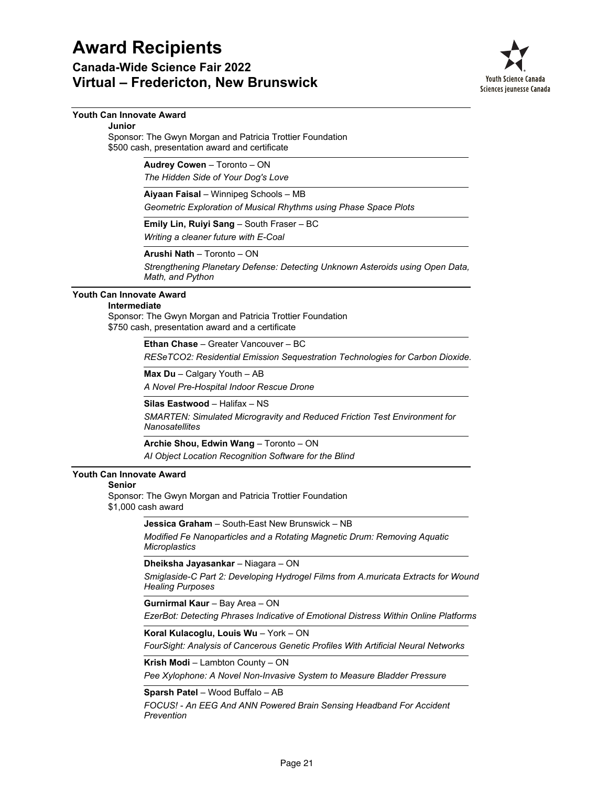**Canada-Wide Science Fair 2022 Virtual – Fredericton, New Brunswick**



### **Youth Can Innovate Award**

#### **Junior**

Sponsor: The Gwyn Morgan and Patricia Trottier Foundation \$500 cash, presentation award and certificate

**Audrey Cowen** – Toronto – ON

*The Hidden Side of Your Dog's Love*

**Aiyaan Faisal** – Winnipeg Schools – MB

*Geometric Exploration of Musical Rhythms using Phase Space Plots*

**Emily Lin, Ruiyi Sang** – South Fraser – BC

*Writing a cleaner future with E-Coal*

**Arushi Nath** – Toronto – ON

*Strengthening Planetary Defense: Detecting Unknown Asteroids using Open Data, Math, and Python*

### **Youth Can Innovate Award**

### **Intermediate**

Sponsor: The Gwyn Morgan and Patricia Trottier Foundation \$750 cash, presentation award and a certificate

**Ethan Chase** – Greater Vancouver – BC

*RESeTCO2: Residential Emission Sequestration Technologies for Carbon Dioxide.*

**Max Du** – Calgary Youth – AB

*A Novel Pre-Hospital Indoor Rescue Drone*

**Silas Eastwood** – Halifax – NS

*SMARTEN: Simulated Microgravity and Reduced Friction Test Environment for Nanosatellites*

**Archie Shou, Edwin Wang** – Toronto – ON

*AI Object Location Recognition Software for the Blind*

### **Youth Can Innovate Award**

#### **Senior**

Sponsor: The Gwyn Morgan and Patricia Trottier Foundation \$1,000 cash award

**Jessica Graham** – South-East New Brunswick – NB

*Modified Fe Nanoparticles and a Rotating Magnetic Drum: Removing Aquatic Microplastics*

**Dheiksha Jayasankar** – Niagara – ON

*Smiglaside-C Part 2: Developing Hydrogel Films from A.muricata Extracts for Wound Healing Purposes*

**Gurnirmal Kaur** – Bay Area – ON

*EzerBot: Detecting Phrases Indicative of Emotional Distress Within Online Platforms*

**Koral Kulacoglu, Louis Wu** – York – ON

*FourSight: Analysis of Cancerous Genetic Profiles With Artificial Neural Networks*

### **Krish Modi** – Lambton County – ON

*Pee Xylophone: A Novel Non-Invasive System to Measure Bladder Pressure*

### **Sparsh Patel** – Wood Buffalo – AB

*FOCUS! - An EEG And ANN Powered Brain Sensing Headband For Accident Prevention*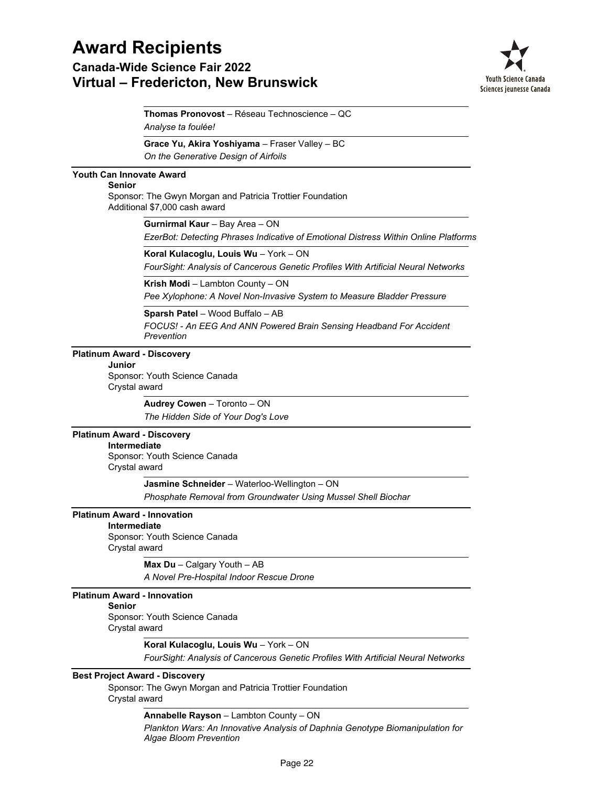## **Award Recipients Canada-Wide Science Fair 2022**

## **Virtual – Fredericton, New Brunswick**



*Analyse ta foulée!* **Thomas Pronovost** – Réseau Technoscience – QC

**Grace Yu, Akira Yoshiyama** – Fraser Valley – BC

*On the Generative Design of Airfoils*

### **Youth Can Innovate Award**

### **Senior**

Sponsor: The Gwyn Morgan and Patricia Trottier Foundation Additional \$7,000 cash award

**Gurnirmal Kaur** – Bay Area – ON

*EzerBot: Detecting Phrases Indicative of Emotional Distress Within Online Platforms*

**Koral Kulacoglu, Louis Wu** – York – ON

*FourSight: Analysis of Cancerous Genetic Profiles With Artificial Neural Networks*

**Krish Modi** – Lambton County – ON

*Pee Xylophone: A Novel Non-Invasive System to Measure Bladder Pressure*

**Sparsh Patel** – Wood Buffalo – AB

*FOCUS! - An EEG And ANN Powered Brain Sensing Headband For Accident Prevention*

### **Platinum Award - Discovery**

**Junior**

Sponsor: Youth Science Canada Crystal award

> *The Hidden Side of Your Dog's Love* **Audrey Cowen** – Toronto – ON

### **Platinum Award - Discovery**

### **Intermediate**

Sponsor: Youth Science Canada Crystal award

**Jasmine Schneider** – Waterloo-Wellington – ON

*Phosphate Removal from Groundwater Using Mussel Shell Biochar*

### **Platinum Award - Innovation**

Sponsor: Youth Science Canada Crystal award **Intermediate**

*A Novel Pre-Hospital Indoor Rescue Drone* **Max Du** – Calgary Youth – AB

### **Platinum Award - Innovation**

**Senior**

Sponsor: Youth Science Canada Crystal award

### **Koral Kulacoglu, Louis Wu** – York – ON

*FourSight: Analysis of Cancerous Genetic Profiles With Artificial Neural Networks*

### **Best Project Award - Discovery**

Sponsor: The Gwyn Morgan and Patricia Trottier Foundation Crystal award

**Annabelle Rayson** – Lambton County – ON

*Plankton Wars: An Innovative Analysis of Daphnia Genotype Biomanipulation for Algae Bloom Prevention*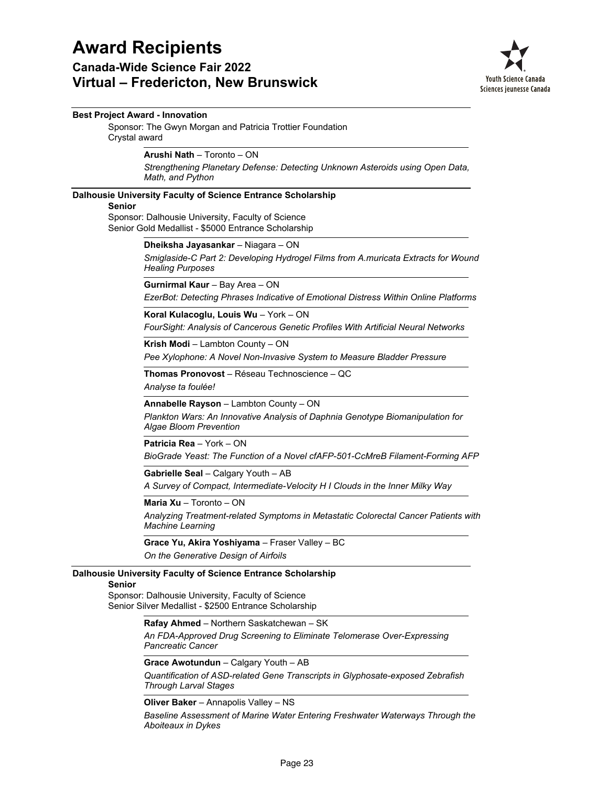### **Canada-Wide Science Fair 2022 Virtual – Fredericton, New Brunswick**



### **Best Project Award - Innovation**

Sponsor: The Gwyn Morgan and Patricia Trottier Foundation Crystal award

**Arushi Nath** – Toronto – ON

*Strengthening Planetary Defense: Detecting Unknown Asteroids using Open Data, Math, and Python*

### **Dalhousie University Faculty of Science Entrance Scholarship**

### **Senior**

Sponsor: Dalhousie University, Faculty of Science Senior Gold Medallist - \$5000 Entrance Scholarship

**Dheiksha Jayasankar** – Niagara – ON

*Smiglaside-C Part 2: Developing Hydrogel Films from A.muricata Extracts for Wound Healing Purposes*

*EzerBot: Detecting Phrases Indicative of Emotional Distress Within Online Platforms* **Gurnirmal Kaur** – Bay Area – ON

*FourSight: Analysis of Cancerous Genetic Profiles With Artificial Neural Networks* **Koral Kulacoglu, Louis Wu** – York – ON

*Pee Xylophone: A Novel Non-Invasive System to Measure Bladder Pressure* **Krish Modi** – Lambton County – ON

*Analyse ta foulée!* **Thomas Pronovost** – Réseau Technoscience – QC

*Plankton Wars: An Innovative Analysis of Daphnia Genotype Biomanipulation for Algae Bloom Prevention* **Annabelle Rayson** – Lambton County – ON

**Patricia Rea** – York – ON

*BioGrade Yeast: The Function of a Novel cfAFP-501-CcMreB Filament-Forming AFP*

### **Gabrielle Seal** – Calgary Youth – AB

*A Survey of Compact, Intermediate-Velocity H I Clouds in the Inner Milky Way*

**Maria Xu** – Toronto – ON

*Analyzing Treatment-related Symptoms in Metastatic Colorectal Cancer Patients with Machine Learning*

*On the Generative Design of Airfoils* **Grace Yu, Akira Yoshiyama** – Fraser Valley – BC

### **Dalhousie University Faculty of Science Entrance Scholarship**

### **Senior**

Sponsor: Dalhousie University, Faculty of Science Senior Silver Medallist - \$2500 Entrance Scholarship

### **Rafay Ahmed** – Northern Saskatchewan – SK

*An FDA-Approved Drug Screening to Eliminate Telomerase Over-Expressing Pancreatic Cancer*

### **Grace Awotundun** – Calgary Youth – AB

*Quantification of ASD-related Gene Transcripts in Glyphosate-exposed Zebrafish Through Larval Stages*

### **Oliver Baker** – Annapolis Valley – NS

*Baseline Assessment of Marine Water Entering Freshwater Waterways Through the Aboiteaux in Dykes*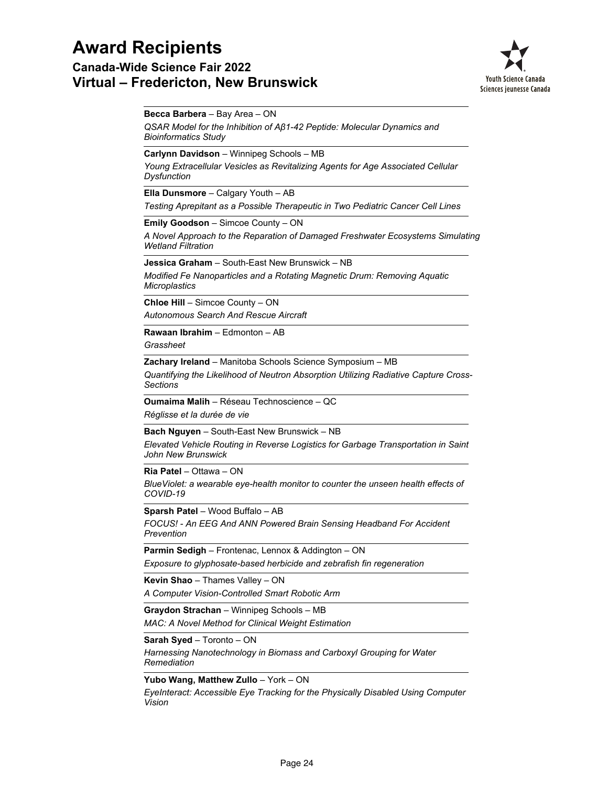**Canada-Wide Science Fair 2022 Virtual – Fredericton, New Brunswick**



### **Becca Barbera** – Bay Area – ON

*QSAR Model for the Inhibition of Aβ1-42 Peptide: Molecular Dynamics and Bioinformatics Study*

**Carlynn Davidson** – Winnipeg Schools – MB

*Young Extracellular Vesicles as Revitalizing Agents for Age Associated Cellular Dysfunction*

**Ella Dunsmore** – Calgary Youth – AB

*Testing Aprepitant as a Possible Therapeutic in Two Pediatric Cancer Cell Lines*

**Emily Goodson** – Simcoe County – ON

*A Novel Approach to the Reparation of Damaged Freshwater Ecosystems Simulating Wetland Filtration*

**Jessica Graham** – South-East New Brunswick – NB

*Modified Fe Nanoparticles and a Rotating Magnetic Drum: Removing Aquatic Microplastics*

*Autonomous Search And Rescue Aircraft* **Chloe Hill** – Simcoe County – ON

*Grassheet* **Rawaan Ibrahim** – Edmonton – AB

**Zachary Ireland** – Manitoba Schools Science Symposium – MB

*Quantifying the Likelihood of Neutron Absorption Utilizing Radiative Capture Cross-Sections*

*Réglisse et la durée de vie* **Oumaima Malih** – Réseau Technoscience – QC

**Bach Nguyen** – South-East New Brunswick – NB

*Elevated Vehicle Routing in Reverse Logistics for Garbage Transportation in Saint John New Brunswick*

**Ria Patel** – Ottawa – ON

*BlueViolet: a wearable eye-health monitor to counter the unseen health effects of COVID-19*

**Sparsh Patel** – Wood Buffalo – AB

*FOCUS! - An EEG And ANN Powered Brain Sensing Headband For Accident Prevention*

*Exposure to glyphosate-based herbicide and zebrafish fin regeneration* **Parmin Sedigh** – Frontenac, Lennox & Addington – ON

**Kevin Shao** – Thames Valley – ON

*A Computer Vision-Controlled Smart Robotic Arm*

*MAC: A Novel Method for Clinical Weight Estimation* **Graydon Strachan** – Winnipeg Schools – MB

**Sarah Syed** – Toronto – ON

*Harnessing Nanotechnology in Biomass and Carboxyl Grouping for Water Remediation*

**Yubo Wang, Matthew Zullo** – York – ON

*EyeInteract: Accessible Eye Tracking for the Physically Disabled Using Computer Vision*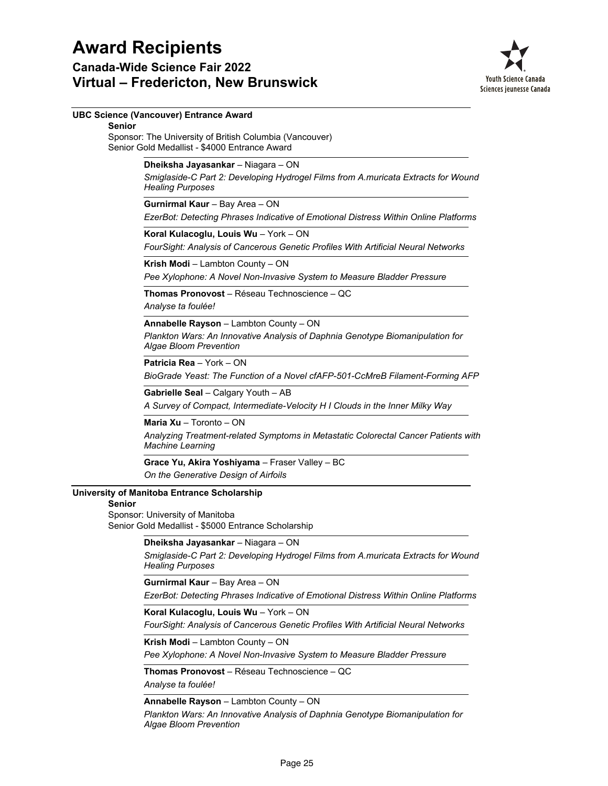**Canada-Wide Science Fair 2022 Virtual – Fredericton, New Brunswick**



### **UBC Science (Vancouver) Entrance Award**

Sponsor: The University of British Columbia (Vancouver) Senior Gold Medallist - \$4000 Entrance Award **Senior**

### **Dheiksha Jayasankar** – Niagara – ON

*Smiglaside-C Part 2: Developing Hydrogel Films from A.muricata Extracts for Wound Healing Purposes*

### **Gurnirmal Kaur** – Bay Area – ON

*EzerBot: Detecting Phrases Indicative of Emotional Distress Within Online Platforms*

*FourSight: Analysis of Cancerous Genetic Profiles With Artificial Neural Networks* **Koral Kulacoglu, Louis Wu** – York – ON

*Pee Xylophone: A Novel Non-Invasive System to Measure Bladder Pressure* **Krish Modi** – Lambton County – ON

*Analyse ta foulée!* **Thomas Pronovost** – Réseau Technoscience – QC

## **Annabelle Rayson** – Lambton County – ON

*Plankton Wars: An Innovative Analysis of Daphnia Genotype Biomanipulation for Algae Bloom Prevention*

*BioGrade Yeast: The Function of a Novel cfAFP-501-CcMreB Filament-Forming AFP* **Patricia Rea** – York – ON

**Gabrielle Seal** – Calgary Youth – AB

*A Survey of Compact, Intermediate-Velocity H I Clouds in the Inner Milky Way*

### **Maria Xu** – Toronto – ON

*Analyzing Treatment-related Symptoms in Metastatic Colorectal Cancer Patients with Machine Learning*

*On the Generative Design of Airfoils* **Grace Yu, Akira Yoshiyama** – Fraser Valley – BC

### **University of Manitoba Entrance Scholarship**

### **Senior**

Sponsor: University of Manitoba Senior Gold Medallist - \$5000 Entrance Scholarship

### **Dheiksha Jayasankar** – Niagara – ON

*Smiglaside-C Part 2: Developing Hydrogel Films from A.muricata Extracts for Wound Healing Purposes*

### *EzerBot: Detecting Phrases Indicative of Emotional Distress Within Online Platforms* **Gurnirmal Kaur** – Bay Area – ON

### **Koral Kulacoglu, Louis Wu** – York – ON

*FourSight: Analysis of Cancerous Genetic Profiles With Artificial Neural Networks*

### **Krish Modi** – Lambton County – ON

*Pee Xylophone: A Novel Non-Invasive System to Measure Bladder Pressure*

*Analyse ta foulée!* **Thomas Pronovost** – Réseau Technoscience – QC

### **Annabelle Rayson** – Lambton County – ON

*Plankton Wars: An Innovative Analysis of Daphnia Genotype Biomanipulation for Algae Bloom Prevention*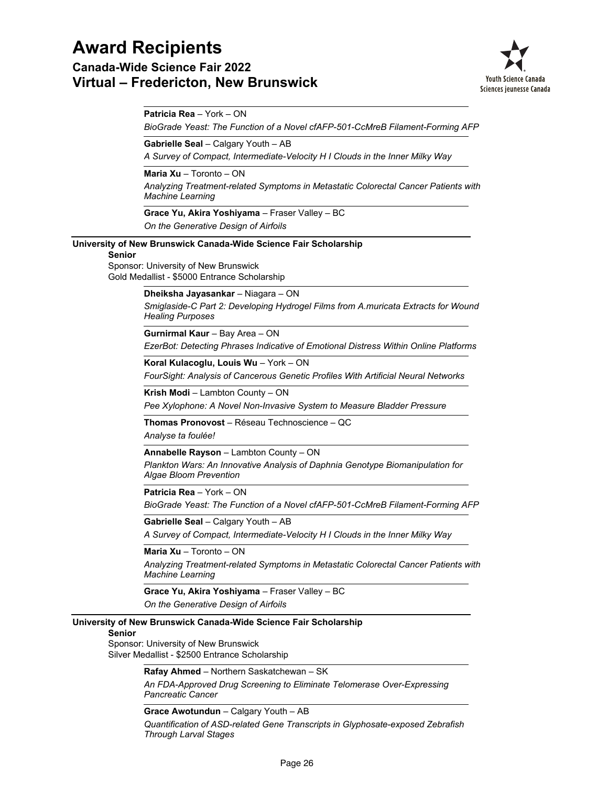**Canada-Wide Science Fair 2022 Virtual – Fredericton, New Brunswick**



**Patricia Rea** – York – ON

*BioGrade Yeast: The Function of a Novel cfAFP-501-CcMreB Filament-Forming AFP*

**Gabrielle Seal** – Calgary Youth – AB

*A Survey of Compact, Intermediate-Velocity H I Clouds in the Inner Milky Way*

**Maria Xu** – Toronto – ON

*Analyzing Treatment-related Symptoms in Metastatic Colorectal Cancer Patients with Machine Learning*

*On the Generative Design of Airfoils* **Grace Yu, Akira Yoshiyama** – Fraser Valley – BC

**University of New Brunswick Canada-Wide Science Fair Scholarship**

**Senior**

Sponsor: University of New Brunswick Gold Medallist - \$5000 Entrance Scholarship

**Dheiksha Jayasankar** – Niagara – ON

*Smiglaside-C Part 2: Developing Hydrogel Films from A.muricata Extracts for Wound Healing Purposes*

**Gurnirmal Kaur** – Bay Area – ON

*EzerBot: Detecting Phrases Indicative of Emotional Distress Within Online Platforms*

*FourSight: Analysis of Cancerous Genetic Profiles With Artificial Neural Networks* **Koral Kulacoglu, Louis Wu** – York – ON

**Krish Modi** – Lambton County – ON

*Pee Xylophone: A Novel Non-Invasive System to Measure Bladder Pressure*

**Thomas Pronovost** – Réseau Technoscience – QC

*Analyse ta foulée!*

**Annabelle Rayson** – Lambton County – ON

*Plankton Wars: An Innovative Analysis of Daphnia Genotype Biomanipulation for Algae Bloom Prevention*

**Patricia Rea** – York – ON

*BioGrade Yeast: The Function of a Novel cfAFP-501-CcMreB Filament-Forming AFP*

**Gabrielle Seal** – Calgary Youth – AB

*A Survey of Compact, Intermediate-Velocity H I Clouds in the Inner Milky Way*

**Maria Xu** – Toronto – ON

*Analyzing Treatment-related Symptoms in Metastatic Colorectal Cancer Patients with Machine Learning*

*On the Generative Design of Airfoils* **Grace Yu, Akira Yoshiyama** – Fraser Valley – BC

### **University of New Brunswick Canada-Wide Science Fair Scholarship**

**Senior**

Sponsor: University of New Brunswick Silver Medallist - \$2500 Entrance Scholarship

**Rafay Ahmed** – Northern Saskatchewan – SK

*An FDA-Approved Drug Screening to Eliminate Telomerase Over-Expressing Pancreatic Cancer*

**Grace Awotundun** – Calgary Youth – AB

*Quantification of ASD-related Gene Transcripts in Glyphosate-exposed Zebrafish Through Larval Stages*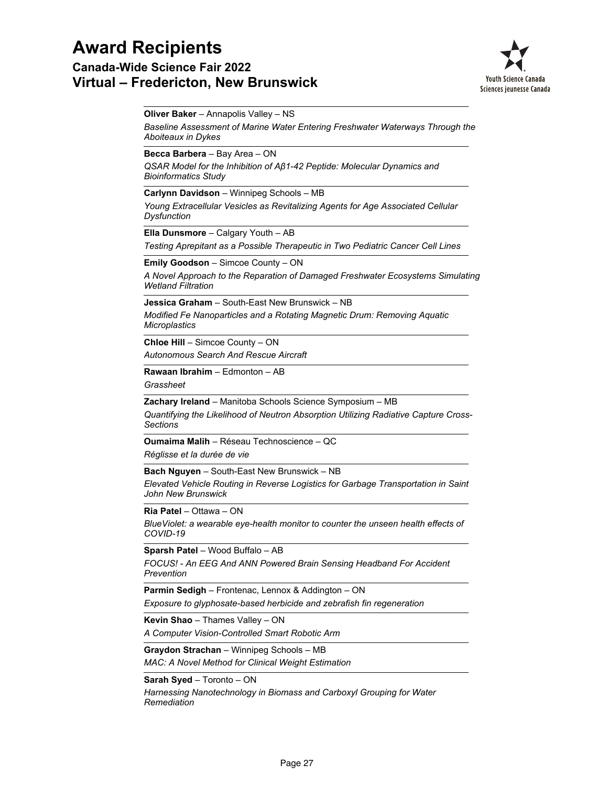**Canada-Wide Science Fair 2022 Virtual – Fredericton, New Brunswick**



**Oliver Baker** – Annapolis Valley – NS

*Baseline Assessment of Marine Water Entering Freshwater Waterways Through the Aboiteaux in Dykes*

**Becca Barbera** – Bay Area – ON

*QSAR Model for the Inhibition of Aβ1-42 Peptide: Molecular Dynamics and Bioinformatics Study*

**Carlynn Davidson** – Winnipeg Schools – MB

*Young Extracellular Vesicles as Revitalizing Agents for Age Associated Cellular Dysfunction*

**Ella Dunsmore** – Calgary Youth – AB

*Testing Aprepitant as a Possible Therapeutic in Two Pediatric Cancer Cell Lines*

**Emily Goodson** – Simcoe County – ON

*A Novel Approach to the Reparation of Damaged Freshwater Ecosystems Simulating Wetland Filtration*

*Modified Fe Nanoparticles and a Rotating Magnetic Drum: Removing Aquatic Microplastics* **Jessica Graham** – South-East New Brunswick – NB

*Autonomous Search And Rescue Aircraft* **Chloe Hill** – Simcoe County – ON

**Rawaan Ibrahim** – Edmonton – AB

*Grassheet*

**Zachary Ireland** – Manitoba Schools Science Symposium – MB

*Quantifying the Likelihood of Neutron Absorption Utilizing Radiative Capture Cross-Sections*

**Oumaima Malih** – Réseau Technoscience – QC

*Réglisse et la durée de vie*

**Bach Nguyen** – South-East New Brunswick – NB

*Elevated Vehicle Routing in Reverse Logistics for Garbage Transportation in Saint John New Brunswick*

**Ria Patel** – Ottawa – ON

*BlueViolet: a wearable eye-health monitor to counter the unseen health effects of COVID-19*

**Sparsh Patel** – Wood Buffalo – AB

*FOCUS! - An EEG And ANN Powered Brain Sensing Headband For Accident Prevention*

**Parmin Sedigh** – Frontenac, Lennox & Addington – ON

*Exposure to glyphosate-based herbicide and zebrafish fin regeneration*

**Kevin Shao** – Thames Valley – ON

*A Computer Vision-Controlled Smart Robotic Arm*

**Graydon Strachan** – Winnipeg Schools – MB

*MAC: A Novel Method for Clinical Weight Estimation*

**Sarah Syed** – Toronto – ON

*Harnessing Nanotechnology in Biomass and Carboxyl Grouping for Water Remediation*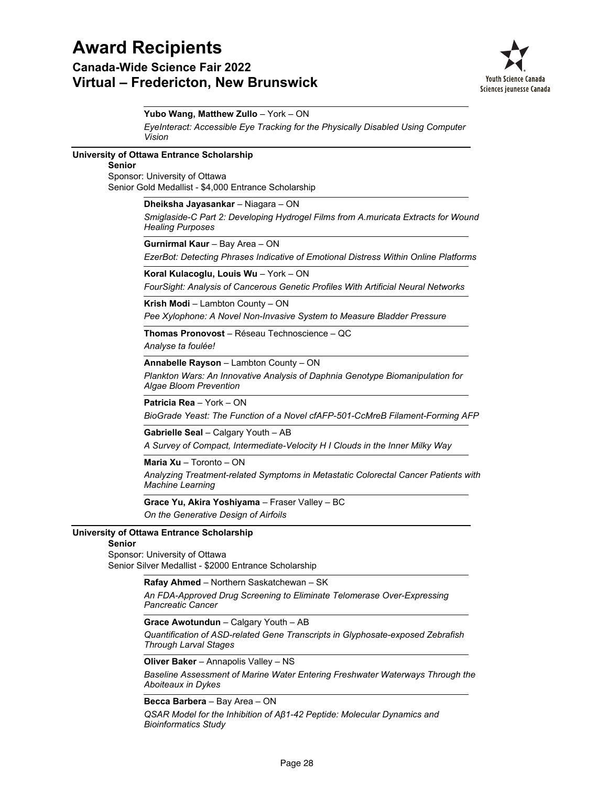## **Award Recipients Canada-Wide Science Fair 2022 Virtual – Fredericton, New Brunswick**



*EyeInteract: Accessible Eye Tracking for the Physically Disabled Using Computer Vision* **Yubo Wang, Matthew Zullo** – York – ON **University of Ottawa Entrance Scholarship** Sponsor: University of Ottawa Senior Gold Medallist - \$4,000 Entrance Scholarship **Senior** *Smiglaside-C Part 2: Developing Hydrogel Films from A.muricata Extracts for Wound Healing Purposes* **Dheiksha Jayasankar** – Niagara – ON *EzerBot: Detecting Phrases Indicative of Emotional Distress Within Online Platforms* **Gurnirmal Kaur** – Bay Area – ON *FourSight: Analysis of Cancerous Genetic Profiles With Artificial Neural Networks* **Koral Kulacoglu, Louis Wu** – York – ON *Pee Xylophone: A Novel Non-Invasive System to Measure Bladder Pressure* **Krish Modi** – Lambton County – ON *Analyse ta foulée!* **Thomas Pronovost** – Réseau Technoscience – QC *Plankton Wars: An Innovative Analysis of Daphnia Genotype Biomanipulation for Algae Bloom Prevention* **Annabelle Rayson** – Lambton County – ON *BioGrade Yeast: The Function of a Novel cfAFP-501-CcMreB Filament-Forming AFP* **Patricia Rea** – York – ON *A Survey of Compact, Intermediate-Velocity H I Clouds in the Inner Milky Way* **Gabrielle Seal** – Calgary Youth – AB *Analyzing Treatment-related Symptoms in Metastatic Colorectal Cancer Patients with Machine Learning* **Maria Xu** – Toronto – ON *On the Generative Design of Airfoils* **Grace Yu, Akira Yoshiyama** – Fraser Valley – BC **University of Ottawa Entrance Scholarship** Sponsor: University of Ottawa Senior Silver Medallist - \$2000 Entrance Scholarship **Senior** *An FDA-Approved Drug Screening to Eliminate Telomerase Over-Expressing Pancreatic Cancer* **Rafay Ahmed** – Northern Saskatchewan – SK *Quantification of ASD-related Gene Transcripts in Glyphosate-exposed Zebrafish Through Larval Stages* **Grace Awotundun** – Calgary Youth – AB

**Oliver Baker** – Annapolis Valley – NS

*Baseline Assessment of Marine Water Entering Freshwater Waterways Through the Aboiteaux in Dykes*

**Becca Barbera** – Bay Area – ON

*QSAR Model for the Inhibition of Aβ1-42 Peptide: Molecular Dynamics and Bioinformatics Study*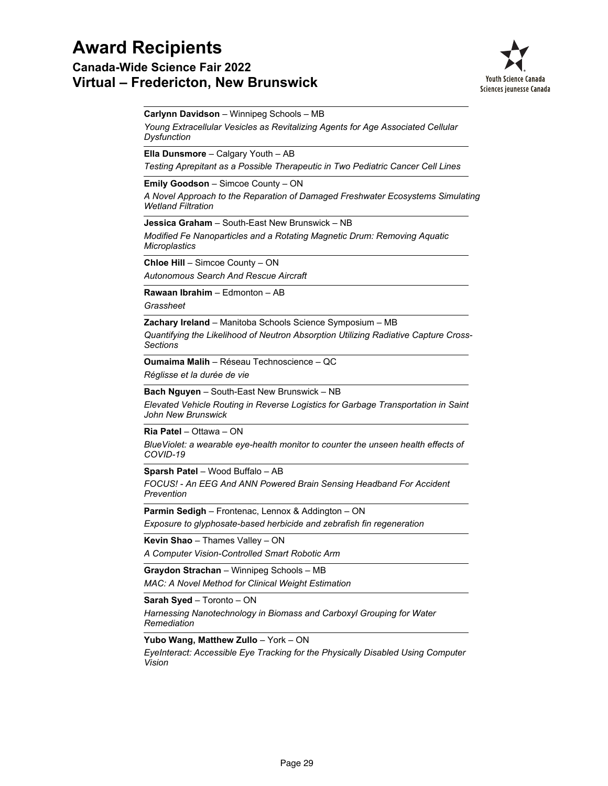**Canada-Wide Science Fair 2022 Virtual – Fredericton, New Brunswick**



**Carlynn Davidson** – Winnipeg Schools – MB

*Young Extracellular Vesicles as Revitalizing Agents for Age Associated Cellular Dysfunction*

**Ella Dunsmore** – Calgary Youth – AB

*Testing Aprepitant as a Possible Therapeutic in Two Pediatric Cancer Cell Lines*

**Emily Goodson** – Simcoe County – ON

*A Novel Approach to the Reparation of Damaged Freshwater Ecosystems Simulating Wetland Filtration*

**Jessica Graham** – South-East New Brunswick – NB

*Modified Fe Nanoparticles and a Rotating Magnetic Drum: Removing Aquatic Microplastics*

**Chloe Hill** – Simcoe County – ON

*Autonomous Search And Rescue Aircraft*

**Rawaan Ibrahim** – Edmonton – AB

*Grassheet*

**Zachary Ireland** – Manitoba Schools Science Symposium – MB

*Quantifying the Likelihood of Neutron Absorption Utilizing Radiative Capture Cross-Sections*

*Réglisse et la durée de vie* **Oumaima Malih** – Réseau Technoscience – QC

**Bach Nguyen** – South-East New Brunswick – NB

*Elevated Vehicle Routing in Reverse Logistics for Garbage Transportation in Saint John New Brunswick*

**Ria Patel** – Ottawa – ON

*BlueViolet: a wearable eye-health monitor to counter the unseen health effects of COVID-19*

**Sparsh Patel** – Wood Buffalo – AB

*FOCUS! - An EEG And ANN Powered Brain Sensing Headband For Accident Prevention*

*Exposure to glyphosate-based herbicide and zebrafish fin regeneration* **Parmin Sedigh** – Frontenac, Lennox & Addington – ON

*A Computer Vision-Controlled Smart Robotic Arm* **Kevin Shao** – Thames Valley – ON

*MAC: A Novel Method for Clinical Weight Estimation* **Graydon Strachan** – Winnipeg Schools – MB

**Sarah Syed** – Toronto – ON

*Harnessing Nanotechnology in Biomass and Carboxyl Grouping for Water Remediation*

**Yubo Wang, Matthew Zullo** – York – ON

*EyeInteract: Accessible Eye Tracking for the Physically Disabled Using Computer Vision*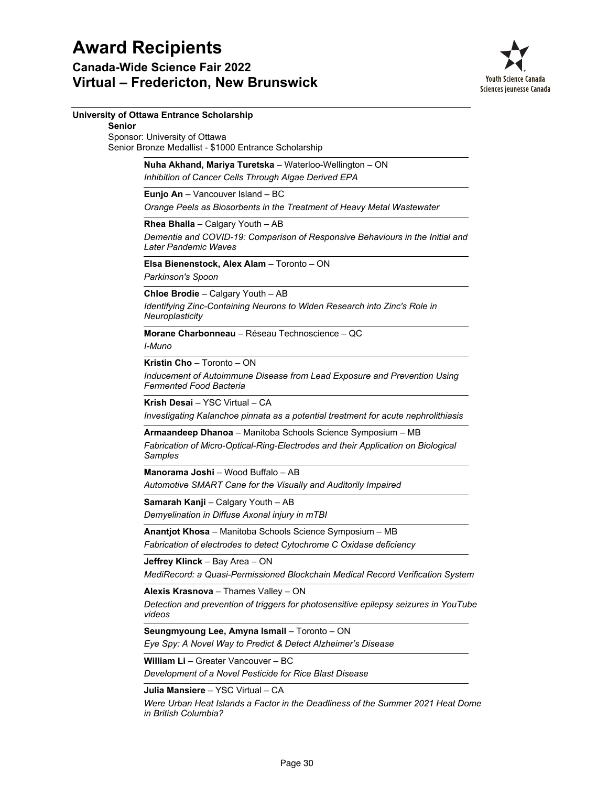

|               | University of Ottawa Entrance Scholarship                                                                                                                  |
|---------------|------------------------------------------------------------------------------------------------------------------------------------------------------------|
| <b>Senior</b> | Sponsor: University of Ottawa                                                                                                                              |
|               | Senior Bronze Medallist - \$1000 Entrance Scholarship                                                                                                      |
|               | Nuha Akhand, Mariya Turetska - Waterloo-Wellington - ON<br>Inhibition of Cancer Cells Through Algae Derived EPA                                            |
|               | Eunjo An - Vancouver Island - BC                                                                                                                           |
|               | Orange Peels as Biosorbents in the Treatment of Heavy Metal Wastewater                                                                                     |
|               | Rhea Bhalla - Calgary Youth - AB<br>Dementia and COVID-19: Comparison of Responsive Behaviours in the Initial and<br>Later Pandemic Waves                  |
|               | Elsa Bienenstock, Alex Alam - Toronto - ON<br>Parkinson's Spoon                                                                                            |
|               | Chloe Brodie - Calgary Youth - AB<br>Identifying Zinc-Containing Neurons to Widen Research into Zinc's Role in<br>Neuroplasticity                          |
|               | Morane Charbonneau - Réseau Technoscience - OC<br>I-Muno                                                                                                   |
|               | Kristin Cho - Toronto - ON                                                                                                                                 |
|               | Inducement of Autoimmune Disease from Lead Exposure and Prevention Using<br><b>Fermented Food Bacteria</b>                                                 |
|               | Krish Desai - YSC Virtual - CA<br>Investigating Kalanchoe pinnata as a potential treatment for acute nephrolithiasis                                       |
|               | Armaandeep Dhanoa - Manitoba Schools Science Symposium - MB<br>Fabrication of Micro-Optical-Ring-Electrodes and their Application on Biological<br>Samples |
|               | Manorama Joshi - Wood Buffalo - AB<br>Automotive SMART Cane for the Visually and Auditorily Impaired                                                       |
|               | Samarah Kanji - Calgary Youth - AB                                                                                                                         |
|               | Demyelination in Diffuse Axonal injury in mTBI                                                                                                             |
|               | Anantjot Khosa - Manitoba Schools Science Symposium - MB<br>Fabrication of electrodes to detect Cytochrome C Oxidase deficiency                            |
|               | Jeffrey Klinck - Bay Area - ON<br>MediRecord: a Quasi-Permissioned Blockchain Medical Record Verification System                                           |
|               | Alexis Krasnova - Thames Valley - ON                                                                                                                       |
|               | Detection and prevention of triggers for photosensitive epilepsy seizures in YouTube<br>videos                                                             |
|               | Seungmyoung Lee, Amyna Ismail - Toronto - ON<br>Eye Spy: A Novel Way to Predict & Detect Alzheimer's Disease                                               |
|               | William Li - Greater Vancouver - BC<br>Development of a Novel Pesticide for Rice Blast Disease                                                             |
|               | Julia Mansiere - YSC Virtual - CA                                                                                                                          |
|               | Were Urban Heat Islands a Factor in the Deadliness of the Summer 2021 Heat Dome<br>in British Columbia?                                                    |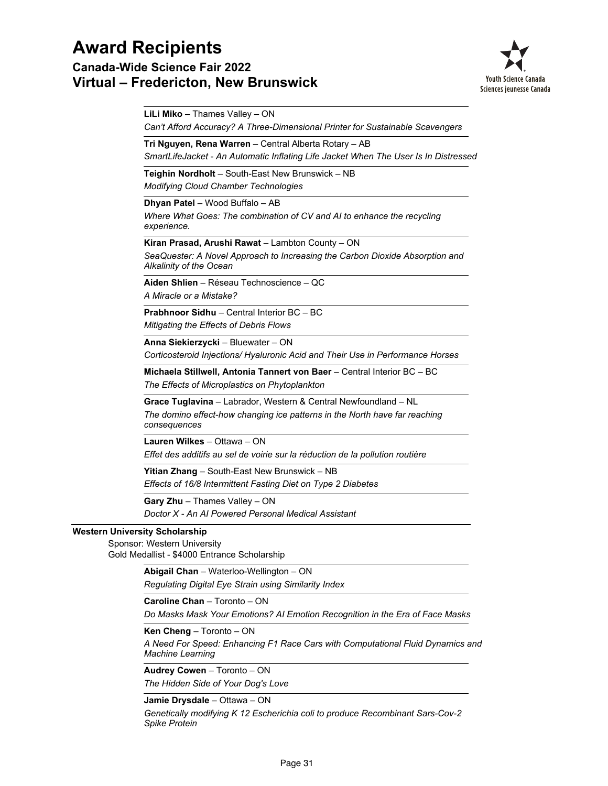**Canada-Wide Science Fair 2022 Virtual – Fredericton, New Brunswick**



*Can't Afford Accuracy? A Three-Dimensional Printer for Sustainable Scavengers* **LiLi Miko** – Thames Valley – ON *SmartLifeJacket - An Automatic Inflating Life Jacket When The User Is In Distressed* **Tri Nguyen, Rena Warren** – Central Alberta Rotary – AB *Modifying Cloud Chamber Technologies* **Teighin Nordholt** – South-East New Brunswick – NB *Where What Goes: The combination of CV and AI to enhance the recycling experience.* **Dhyan Patel** – Wood Buffalo – AB *SeaQuester: A Novel Approach to Increasing the Carbon Dioxide Absorption and Alkalinity of the Ocean* **Kiran Prasad, Arushi Rawat** – Lambton County – ON *A Miracle or a Mistake?* **Aiden Shlien** – Réseau Technoscience – QC *Mitigating the Effects of Debris Flows* **Prabhnoor Sidhu** – Central Interior BC – BC *Corticosteroid Injections/ Hyaluronic Acid and Their Use in Performance Horses* **Anna Siekierzycki** – Bluewater – ON *The Effects of Microplastics on Phytoplankton* **Michaela Stillwell, Antonia Tannert von Baer** – Central Interior BC – BC *The domino effect-how changing ice patterns in the North have far reaching consequences* **Grace Tuglavina** – Labrador, Western & Central Newfoundland – NL *Effet des additifs au sel de voirie sur la réduction de la pollution routière* **Lauren Wilkes** – Ottawa – ON *Effects of 16/8 Intermittent Fasting Diet on Type 2 Diabetes* **Yitian Zhang** – South-East New Brunswick – NB *Doctor X - An AI Powered Personal Medical Assistant* **Gary Zhu** – Thames Valley – ON **Western University Scholarship** Sponsor: Western University Gold Medallist - \$4000 Entrance Scholarship *Regulating Digital Eye Strain using Similarity Index* **Abigail Chan** – Waterloo-Wellington – ON **Caroline Chan** – Toronto – ON

*Do Masks Mask Your Emotions? AI Emotion Recognition in the Era of Face Masks*

**Ken Cheng** – Toronto – ON

*A Need For Speed: Enhancing F1 Race Cars with Computational Fluid Dynamics and Machine Learning*

**Audrey Cowen** – Toronto – ON

*The Hidden Side of Your Dog's Love*

**Jamie Drysdale** – Ottawa – ON

*Genetically modifying K 12 Escherichia coli to produce Recombinant Sars-Cov-2 Spike Protein*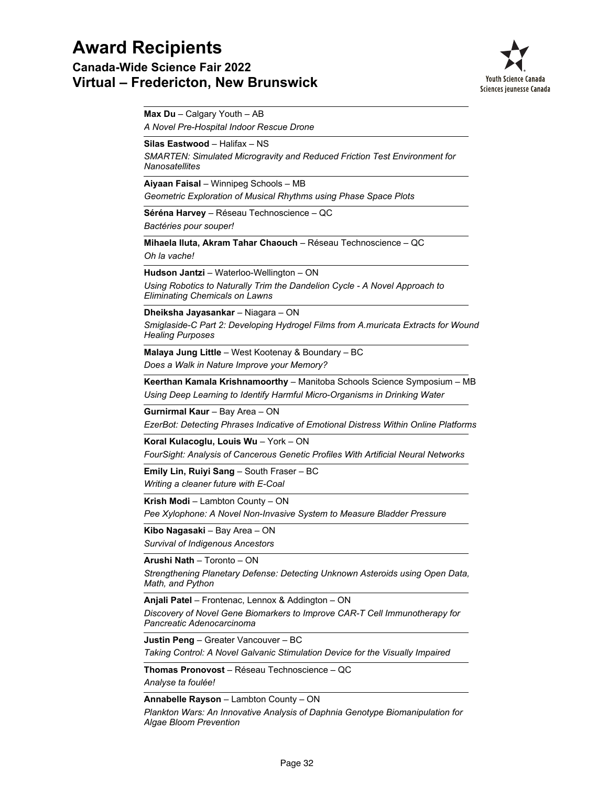**Canada-Wide Science Fair 2022 Virtual – Fredericton, New Brunswick**



*A Novel Pre-Hospital Indoor Rescue Drone* **Max Du** – Calgary Youth – AB *SMARTEN: Simulated Microgravity and Reduced Friction Test Environment for Nanosatellites* **Silas Eastwood** – Halifax – NS *Geometric Exploration of Musical Rhythms using Phase Space Plots* **Aiyaan Faisal** – Winnipeg Schools – MB *Bactéries pour souper!* **Séréna Harvey** – Réseau Technoscience – QC *Oh la vache!* **Mihaela Iluta, Akram Tahar Chaouch** – Réseau Technoscience – QC *Using Robotics to Naturally Trim the Dandelion Cycle - A Novel Approach to Eliminating Chemicals on Lawns* **Hudson Jantzi** – Waterloo-Wellington – ON *Smiglaside-C Part 2: Developing Hydrogel Films from A.muricata Extracts for Wound Healing Purposes* **Dheiksha Jayasankar** – Niagara – ON *Does a Walk in Nature Improve your Memory?* **Malaya Jung Little** – West Kootenay & Boundary – BC *Using Deep Learning to Identify Harmful Micro-Organisms in Drinking Water* **Keerthan Kamala Krishnamoorthy** – Manitoba Schools Science Symposium – MB *EzerBot: Detecting Phrases Indicative of Emotional Distress Within Online Platforms* **Gurnirmal Kaur** – Bay Area – ON *FourSight: Analysis of Cancerous Genetic Profiles With Artificial Neural Networks* **Koral Kulacoglu, Louis Wu** – York – ON *Writing a cleaner future with E-Coal* **Emily Lin, Ruiyi Sang** – South Fraser – BC *Pee Xylophone: A Novel Non-Invasive System to Measure Bladder Pressure* **Krish Modi** – Lambton County – ON *Survival of Indigenous Ancestors* **Kibo Nagasaki** – Bay Area – ON *Strengthening Planetary Defense: Detecting Unknown Asteroids using Open Data, Math, and Python* **Arushi Nath** – Toronto – ON *Discovery of Novel Gene Biomarkers to Improve CAR-T Cell Immunotherapy for Pancreatic Adenocarcinoma* **Anjali Patel** – Frontenac, Lennox & Addington – ON *Taking Control: A Novel Galvanic Stimulation Device for the Visually Impaired* **Justin Peng** – Greater Vancouver – BC *Analyse ta foulée!* **Thomas Pronovost** – Réseau Technoscience – QC **Annabelle Rayson** – Lambton County – ON

*Plankton Wars: An Innovative Analysis of Daphnia Genotype Biomanipulation for Algae Bloom Prevention*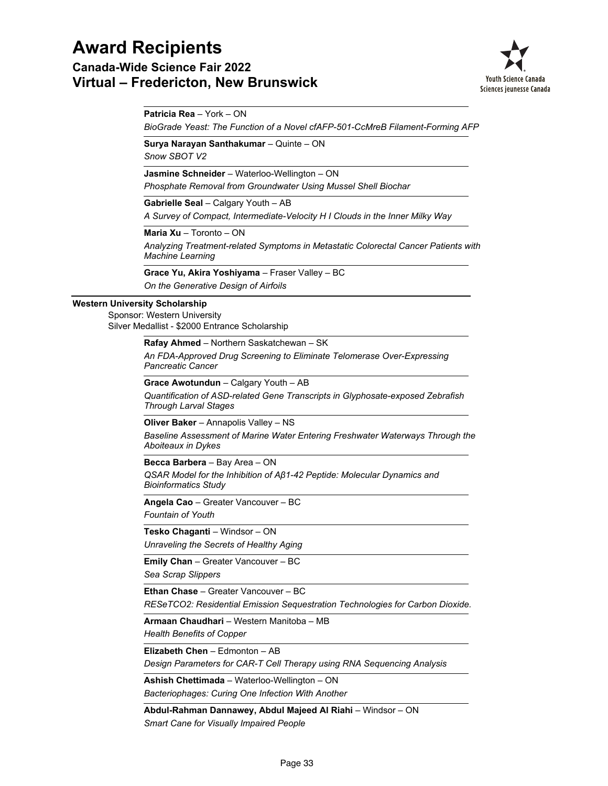**Canada-Wide Science Fair 2022 Virtual – Fredericton, New Brunswick**



**Patricia Rea** – York – ON

*BioGrade Yeast: The Function of a Novel cfAFP-501-CcMreB Filament-Forming AFP*

**Surya Narayan Santhakumar** – Quinte – ON

*Snow SBOT V2*

**Jasmine Schneider** – Waterloo-Wellington – ON

*Phosphate Removal from Groundwater Using Mussel Shell Biochar*

**Gabrielle Seal** – Calgary Youth – AB

*A Survey of Compact, Intermediate-Velocity H I Clouds in the Inner Milky Way*

**Maria Xu** – Toronto – ON

*Analyzing Treatment-related Symptoms in Metastatic Colorectal Cancer Patients with Machine Learning*

*On the Generative Design of Airfoils* **Grace Yu, Akira Yoshiyama** – Fraser Valley – BC

### **Western University Scholarship**

Sponsor: Western University Silver Medallist - \$2000 Entrance Scholarship

**Rafay Ahmed** – Northern Saskatchewan – SK

*An FDA-Approved Drug Screening to Eliminate Telomerase Over-Expressing Pancreatic Cancer*

**Grace Awotundun** – Calgary Youth – AB

*Quantification of ASD-related Gene Transcripts in Glyphosate-exposed Zebrafish Through Larval Stages*

**Oliver Baker** – Annapolis Valley – NS

*Baseline Assessment of Marine Water Entering Freshwater Waterways Through the Aboiteaux in Dykes*

**Becca Barbera** – Bay Area – ON

*QSAR Model for the Inhibition of Aβ1-42 Peptide: Molecular Dynamics and Bioinformatics Study*

*Fountain of Youth* **Angela Cao** – Greater Vancouver – BC

*Unraveling the Secrets of Healthy Aging* **Tesko Chaganti** – Windsor – ON

*Sea Scrap Slippers* **Emily Chan** – Greater Vancouver – BC

**Ethan Chase** – Greater Vancouver – BC

*RESeTCO2: Residential Emission Sequestration Technologies for Carbon Dioxide.*

*Health Benefits of Copper* **Armaan Chaudhari** – Western Manitoba – MB

**Elizabeth Chen** – Edmonton – AB

*Design Parameters for CAR-T Cell Therapy using RNA Sequencing Analysis*

*Bacteriophages: Curing One Infection With Another* **Ashish Chettimada** – Waterloo-Wellington – ON

*Smart Cane for Visually Impaired People* **Abdul-Rahman Dannawey, Abdul Majeed Al Riahi** – Windsor – ON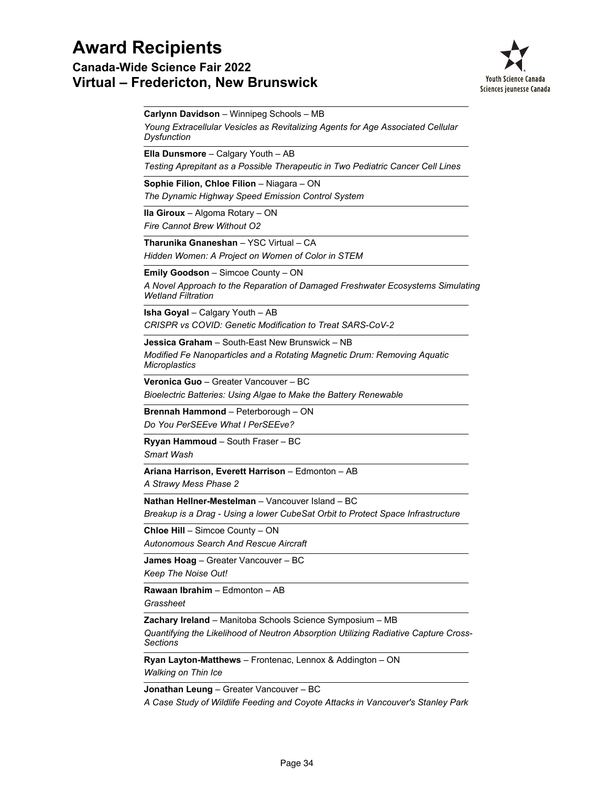### **Canada-Wide Science Fair 2022 Virtual – Fredericton, New Brunswick**



*Young Extracellular Vesicles as Revitalizing Agents for Age Associated Cellular Dysfunction* **Carlynn Davidson** – Winnipeg Schools – MB *Testing Aprepitant as a Possible Therapeutic in Two Pediatric Cancer Cell Lines* **Ella Dunsmore** – Calgary Youth – AB *The Dynamic Highway Speed Emission Control System* **Sophie Filion, Chloe Filion** – Niagara – ON *Fire Cannot Brew Without O2* **Ila Giroux** – Algoma Rotary – ON *Hidden Women: A Project on Women of Color in STEM* **Tharunika Gnaneshan** – YSC Virtual – CA *A Novel Approach to the Reparation of Damaged Freshwater Ecosystems Simulating Wetland Filtration* **Emily Goodson** – Simcoe County – ON *CRISPR vs COVID: Genetic Modification to Treat SARS-CoV-2* **Isha Goyal** – Calgary Youth – AB *Modified Fe Nanoparticles and a Rotating Magnetic Drum: Removing Aquatic Microplastics* **Jessica Graham** – South-East New Brunswick – NB *Bioelectric Batteries: Using Algae to Make the Battery Renewable* **Veronica Guo** – Greater Vancouver – BC *Do You PerSEEve What I PerSEEve?* **Brennah Hammond** – Peterborough – ON *Smart Wash* **Ryyan Hammoud** – South Fraser – BC *A Strawy Mess Phase 2* **Ariana Harrison, Everett Harrison** – Edmonton – AB *Breakup is a Drag - Using a lower CubeSat Orbit to Protect Space Infrastructure* **Nathan Hellner-Mestelman** – Vancouver Island – BC *Autonomous Search And Rescue Aircraft* **Chloe Hill** – Simcoe County – ON *Keep The Noise Out!* **James Hoag** – Greater Vancouver – BC *Grassheet* **Rawaan Ibrahim** – Edmonton – AB *Quantifying the Likelihood of Neutron Absorption Utilizing Radiative Capture Cross-Sections* **Zachary Ireland** – Manitoba Schools Science Symposium – MB **Ryan Layton-Matthews** – Frontenac, Lennox & Addington – ON

*Walking on Thin Ice*

**Jonathan Leung** – Greater Vancouver – BC

*A Case Study of Wildlife Feeding and Coyote Attacks in Vancouver's Stanley Park*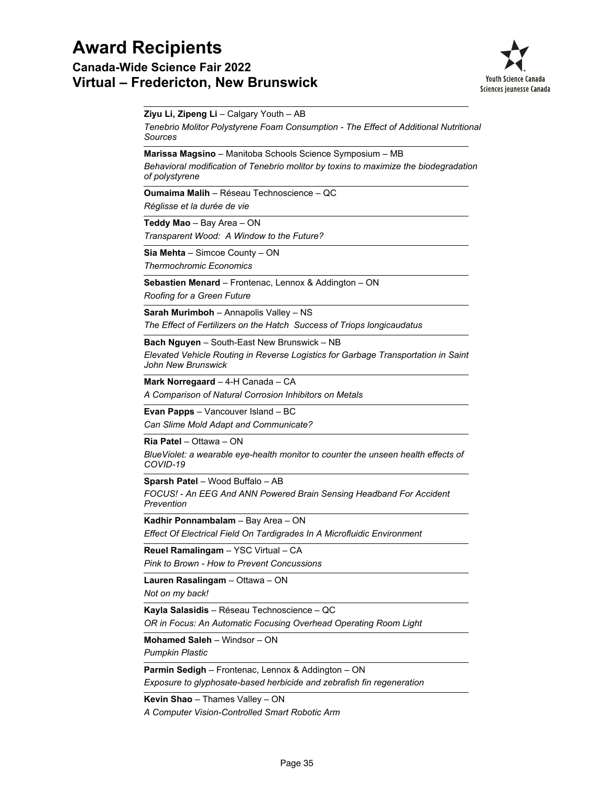### **Canada-Wide Science Fair 2022 Virtual – Fredericton, New Brunswick**



*Tenebrio Molitor Polystyrene Foam Consumption - The Effect of Additional Nutritional Sources* **Ziyu Li, Zipeng Li** – Calgary Youth – AB *Behavioral modification of Tenebrio molitor by toxins to maximize the biodegradation of polystyrene* **Marissa Magsino** – Manitoba Schools Science Symposium – MB *Réglisse et la durée de vie* **Oumaima Malih** – Réseau Technoscience – QC *Transparent Wood: A Window to the Future?* **Teddy Mao** – Bay Area – ON *Thermochromic Economics* **Sia Mehta** – Simcoe County – ON *Roofing for a Green Future* **Sebastien Menard** – Frontenac, Lennox & Addington – ON *The Effect of Fertilizers on the Hatch Success of Triops longicaudatus* **Sarah Murimboh** – Annapolis Valley – NS *Elevated Vehicle Routing in Reverse Logistics for Garbage Transportation in Saint John New Brunswick* **Bach Nguyen** – South-East New Brunswick – NB *A Comparison of Natural Corrosion Inhibitors on Metals* **Mark Norregaard** – 4-H Canada – CA *Can Slime Mold Adapt and Communicate?* **Evan Papps** – Vancouver Island – BC *BlueViolet: a wearable eye-health monitor to counter the unseen health effects of COVID-19* **Ria Patel** – Ottawa – ON *FOCUS! - An EEG And ANN Powered Brain Sensing Headband For Accident Prevention* **Sparsh Patel** – Wood Buffalo – AB *Effect Of Electrical Field On Tardigrades In A Microfluidic Environment* **Kadhir Ponnambalam** – Bay Area – ON *Pink to Brown - How to Prevent Concussions* **Reuel Ramalingam** – YSC Virtual – CA *Not on my back!* **Lauren Rasalingam** – Ottawa – ON *OR in Focus: An Automatic Focusing Overhead Operating Room Light* **Kayla Salasidis** – Réseau Technoscience – QC *Pumpkin Plastic* **Mohamed Saleh** – Windsor – ON *Exposure to glyphosate-based herbicide and zebrafish fin regeneration* **Parmin Sedigh** – Frontenac, Lennox & Addington – ON **Kevin Shao** – Thames Valley – ON

*A Computer Vision-Controlled Smart Robotic Arm*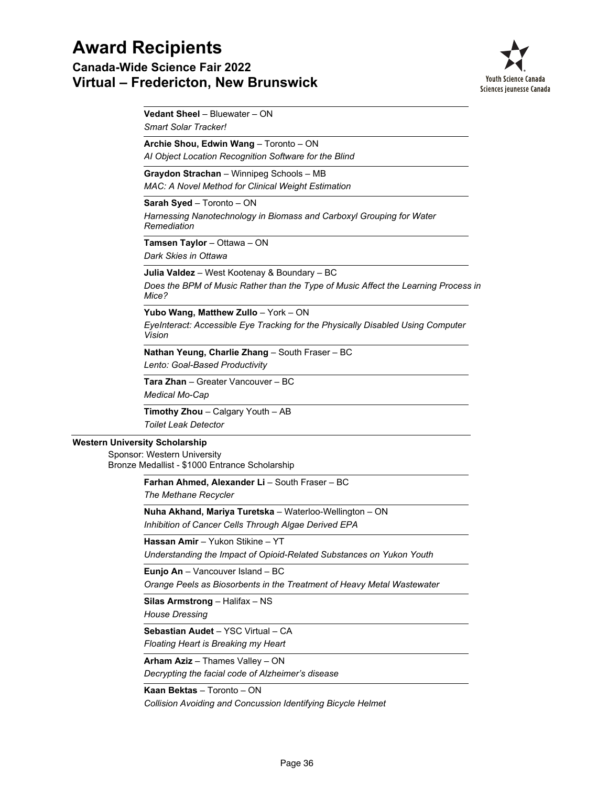**Canada-Wide Science Fair 2022 Virtual – Fredericton, New Brunswick**



*Smart Solar Tracker!* **Vedant Sheel** – Bluewater – ON

*AI Object Location Recognition Software for the Blind* **Archie Shou, Edwin Wang** – Toronto – ON

**Graydon Strachan** – Winnipeg Schools – MB

*MAC: A Novel Method for Clinical Weight Estimation*

**Sarah Syed** – Toronto – ON

*Harnessing Nanotechnology in Biomass and Carboxyl Grouping for Water Remediation*

*Dark Skies in Ottawa* **Tamsen Taylor** – Ottawa – ON

**Julia Valdez** – West Kootenay & Boundary – BC

*Does the BPM of Music Rather than the Type of Music Affect the Learning Process in Mice?*

**Yubo Wang, Matthew Zullo** – York – ON

*EyeInteract: Accessible Eye Tracking for the Physically Disabled Using Computer Vision*

*Lento: Goal-Based Productivity* **Nathan Yeung, Charlie Zhang** – South Fraser – BC

*Medical Mo-Cap* **Tara Zhan** – Greater Vancouver – BC

*Toilet Leak Detector* **Timothy Zhou** – Calgary Youth – AB

### **Western University Scholarship**

Sponsor: Western University Bronze Medallist - \$1000 Entrance Scholarship

**Farhan Ahmed, Alexander Li** – South Fraser – BC

*The Methane Recycler*

*Inhibition of Cancer Cells Through Algae Derived EPA* **Nuha Akhand, Mariya Turetska** – Waterloo-Wellington – ON

**Hassan Amir** – Yukon Stikine – YT

*Understanding the Impact of Opioid-Related Substances on Yukon Youth*

**Eunjo An** – Vancouver Island – BC

*Orange Peels as Biosorbents in the Treatment of Heavy Metal Wastewater*

**Silas Armstrong** – Halifax – NS

*House Dressing*

*Floating Heart is Breaking my Heart* **Sebastian Audet** – YSC Virtual – CA

**Arham Aziz** – Thames Valley – ON

*Decrypting the facial code of Alzheimer's disease*

### **Kaan Bektas** – Toronto – ON

*Collision Avoiding and Concussion Identifying Bicycle Helmet*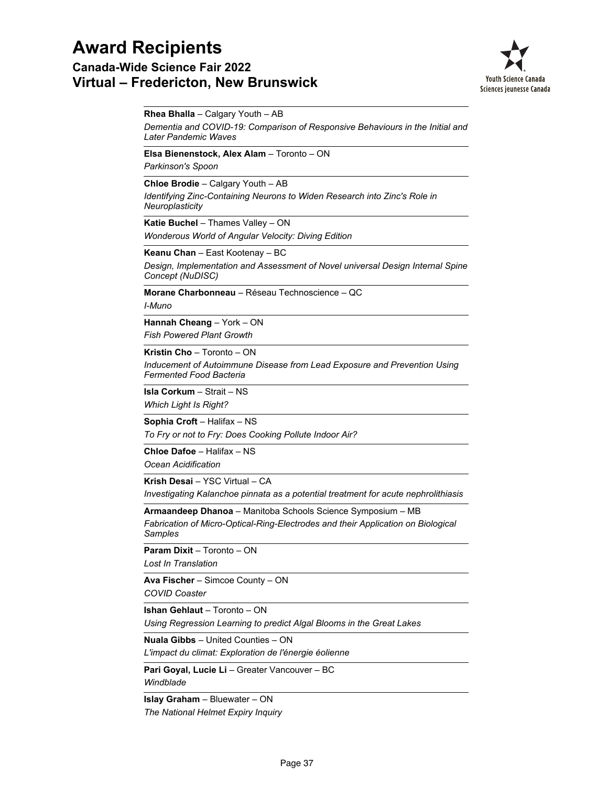### **Canada-Wide Science Fair 2022 Virtual – Fredericton, New Brunswick**



*Dementia and COVID-19: Comparison of Responsive Behaviours in the Initial and Later Pandemic Waves* **Rhea Bhalla** – Calgary Youth – AB *Parkinson's Spoon* **Elsa Bienenstock, Alex Alam** – Toronto – ON *Identifying Zinc-Containing Neurons to Widen Research into Zinc's Role in Neuroplasticity* **Chloe Brodie** – Calgary Youth – AB *Wonderous World of Angular Velocity: Diving Edition* **Katie Buchel** – Thames Valley – ON *Design, Implementation and Assessment of Novel universal Design Internal Spine Concept (NuDISC)* **Keanu Chan** – East Kootenay – BC *I-Muno* **Morane Charbonneau** – Réseau Technoscience – QC *Fish Powered Plant Growth* **Hannah Cheang** – York – ON *Inducement of Autoimmune Disease from Lead Exposure and Prevention Using Fermented Food Bacteria* **Kristin Cho** – Toronto – ON *Which Light Is Right?* **Isla Corkum** – Strait – NS *To Fry or not to Fry: Does Cooking Pollute Indoor Air?* **Sophia Croft** – Halifax – NS *Ocean Acidification* **Chloe Dafoe** – Halifax – NS *Investigating Kalanchoe pinnata as a potential treatment for acute nephrolithiasis* **Krish Desai** – YSC Virtual – CA *Fabrication of Micro-Optical-Ring-Electrodes and their Application on Biological Samples* **Armaandeep Dhanoa** – Manitoba Schools Science Symposium – MB *Lost In Translation* **Param Dixit** – Toronto – ON *COVID Coaster* **Ava Fischer** – Simcoe County – ON *Using Regression Learning to predict Algal Blooms in the Great Lakes* **Ishan Gehlaut** – Toronto – ON *L'impact du climat: Exploration de l'énergie éolienne* **Nuala Gibbs** – United Counties – ON *Windblade* **Pari Goyal, Lucie Li** – Greater Vancouver – BC *The National Helmet Expiry Inquiry* **Islay Graham** – Bluewater – ON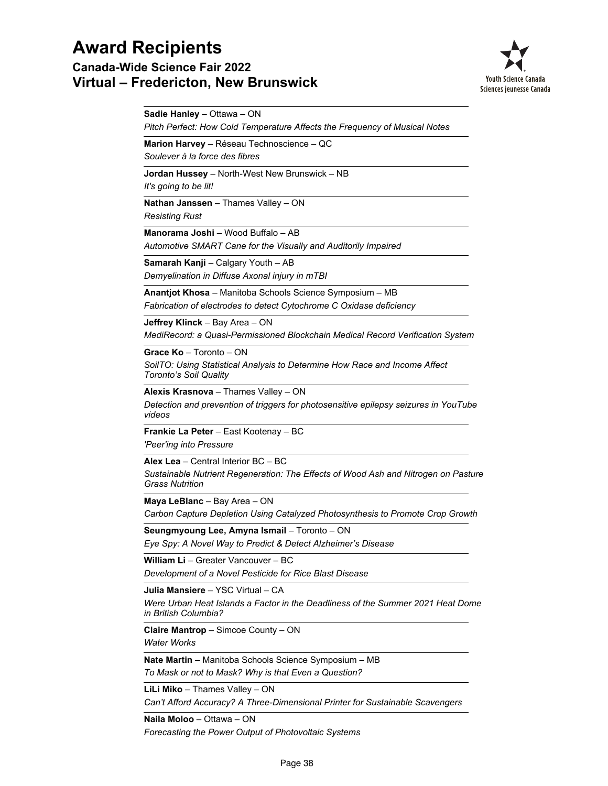**Canada-Wide Science Fair 2022 Virtual – Fredericton, New Brunswick**



| Sadie Hanley - Ottawa - ON<br>Pitch Perfect: How Cold Temperature Affects the Frequency of Musical Notes                                     |
|----------------------------------------------------------------------------------------------------------------------------------------------|
| Marion Harvey - Réseau Technoscience - QC<br>Soulever à la force des fibres                                                                  |
| <b>Jordan Hussey</b> – North-West New Brunswick – NB<br>It's going to be lit!                                                                |
| Nathan Janssen - Thames Valley - ON<br><b>Resisting Rust</b>                                                                                 |
| Manorama Joshi - Wood Buffalo - AB<br>Automotive SMART Cane for the Visually and Auditorily Impaired                                         |
| <b>Samarah Kanji</b> – Calgary Youth – AB<br>Demyelination in Diffuse Axonal injury in mTBI                                                  |
| <b>Anantjot Khosa</b> – Manitoba Schools Science Symposium – MB<br>Fabrication of electrodes to detect Cytochrome C Oxidase deficiency       |
| Jeffrey Klinck - Bay Area - ON<br>MediRecord: a Quasi-Permissioned Blockchain Medical Record Verification System                             |
| Grace Ko - Toronto - ON<br>SoilTO: Using Statistical Analysis to Determine How Race and Income Affect<br>Toronto's Soil Quality              |
| Alexis Krasnova - Thames Valley - ON<br>Detection and prevention of triggers for photosensitive epilepsy seizures in YouTube<br>videos       |
| Frankie La Peter - East Kootenay - BC<br>'Peer'ing into Pressure                                                                             |
| Alex Lea - Central Interior BC - BC<br>Sustainable Nutrient Regeneration: The Effects of Wood Ash and Nitrogen on Pasture<br>Grass Nutrition |
| Maya LeBlanc - Bay Area - ON<br>Carbon Capture Depletion Using Catalyzed Photosynthesis to Promote Crop Growth                               |
| Seungmyoung Lee, Amyna Ismail - Toronto - ON<br>Eye Spy: A Novel Way to Predict & Detect Alzheimer's Disease                                 |
| William Li - Greater Vancouver - BC<br>Development of a Novel Pesticide for Rice Blast Disease                                               |
| Julia Mansiere - YSC Virtual - CA<br>Were Urban Heat Islands a Factor in the Deadliness of the Summer 2021 Heat Dome<br>in British Columbia? |
| <b>Claire Mantrop</b> – Simcoe County – ON<br><b>Water Works</b>                                                                             |
| Nate Martin - Manitoba Schools Science Symposium - MB<br>To Mask or not to Mask? Why is that Even a Question?                                |
| LiLi Miko - Thames Valley - ON<br>Can't Afford Accuracy? A Three-Dimensional Printer for Sustainable Scavengers                              |

*Forecasting the Power Output of Photovoltaic Systems* **Naila Moloo** – Ottawa – ON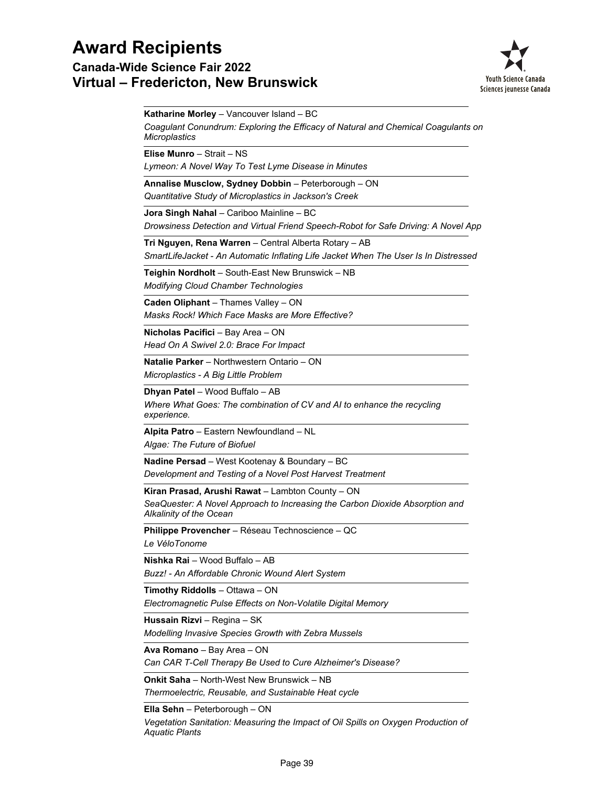**Canada-Wide Science Fair 2022 Virtual – Fredericton, New Brunswick**



*Coagulant Conundrum: Exploring the Efficacy of Natural and Chemical Coagulants on Microplastics* **Katharine Morley** – Vancouver Island – BC *Lymeon: A Novel Way To Test Lyme Disease in Minutes* **Elise Munro** – Strait – NS *Quantitative Study of Microplastics in Jackson's Creek* **Annalise Musclow, Sydney Dobbin** – Peterborough – ON *Drowsiness Detection and Virtual Friend Speech-Robot for Safe Driving: A Novel App* **Jora Singh Nahal** – Cariboo Mainline – BC *SmartLifeJacket - An Automatic Inflating Life Jacket When The User Is In Distressed* **Tri Nguyen, Rena Warren** – Central Alberta Rotary – AB *Modifying Cloud Chamber Technologies* **Teighin Nordholt** – South-East New Brunswick – NB *Masks Rock! Which Face Masks are More Effective?* **Caden Oliphant** – Thames Valley – ON *Head On A Swivel 2.0: Brace For Impact* **Nicholas Pacifici** – Bay Area – ON *Microplastics - A Big Little Problem* **Natalie Parker** – Northwestern Ontario – ON *Where What Goes: The combination of CV and AI to enhance the recycling experience.* **Dhyan Patel** – Wood Buffalo – AB *Algae: The Future of Biofuel* **Alpita Patro** – Eastern Newfoundland – NL *Development and Testing of a Novel Post Harvest Treatment* **Nadine Persad** – West Kootenay & Boundary – BC *SeaQuester: A Novel Approach to Increasing the Carbon Dioxide Absorption and Alkalinity of the Ocean* **Kiran Prasad, Arushi Rawat** – Lambton County – ON *Le VéloTonome* **Philippe Provencher** – Réseau Technoscience – QC *Buzz! - An Affordable Chronic Wound Alert System* **Nishka Rai** – Wood Buffalo – AB *Electromagnetic Pulse Effects on Non-Volatile Digital Memory* **Timothy Riddolls** – Ottawa – ON *Modelling Invasive Species Growth with Zebra Mussels* **Hussain Rizvi** – Regina – SK *Can CAR T-Cell Therapy Be Used to Cure Alzheimer's Disease?* **Ava Romano** – Bay Area – ON *Thermoelectric, Reusable, and Sustainable Heat cycle* **Onkit Saha** – North-West New Brunswick – NB

**Ella Sehn** – Peterborough – ON

*Vegetation Sanitation: Measuring the Impact of Oil Spills on Oxygen Production of Aquatic Plants*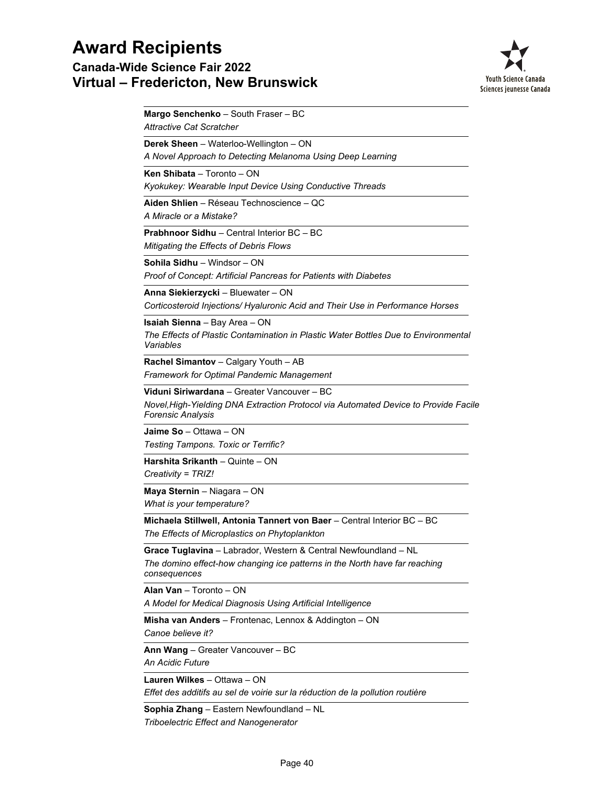**Canada-Wide Science Fair 2022 Virtual – Fredericton, New Brunswick**



*Attractive Cat Scratcher* **Margo Senchenko** – South Fraser – BC *A Novel Approach to Detecting Melanoma Using Deep Learning* **Derek Sheen** – Waterloo-Wellington – ON *Kyokukey: Wearable Input Device Using Conductive Threads* **Ken Shibata** – Toronto – ON *A Miracle or a Mistake?* **Aiden Shlien** – Réseau Technoscience – QC *Mitigating the Effects of Debris Flows* **Prabhnoor Sidhu** – Central Interior BC – BC *Proof of Concept: Artificial Pancreas for Patients with Diabetes* **Sohila Sidhu** – Windsor – ON *Corticosteroid Injections/ Hyaluronic Acid and Their Use in Performance Horses* **Anna Siekierzycki** – Bluewater – ON *The Effects of Plastic Contamination in Plastic Water Bottles Due to Environmental Variables* **Isaiah Sienna** – Bay Area – ON *Framework for Optimal Pandemic Management* **Rachel Simantov** – Calgary Youth – AB *Novel,High-Yielding DNA Extraction Protocol via Automated Device to Provide Facile Forensic Analysis* **Viduni Siriwardana** – Greater Vancouver – BC *Testing Tampons. Toxic or Terrific?* **Jaime So** – Ottawa – ON *Creativity = TRIZ!* **Harshita Srikanth** – Quinte – ON *What is your temperature?* **Maya Sternin** – Niagara – ON *The Effects of Microplastics on Phytoplankton* **Michaela Stillwell, Antonia Tannert von Baer** – Central Interior BC – BC *The domino effect-how changing ice patterns in the North have far reaching consequences* **Grace Tuglavina** – Labrador, Western & Central Newfoundland – NL *A Model for Medical Diagnosis Using Artificial Intelligence* **Alan Van** – Toronto – ON *Canoe believe it?* **Misha van Anders** – Frontenac, Lennox & Addington – ON *An Acidic Future* **Ann Wang** – Greater Vancouver – BC *Effet des additifs au sel de voirie sur la réduction de la pollution routière* **Lauren Wilkes** – Ottawa – ON

**Sophia Zhang** – Eastern Newfoundland – NL

*Triboelectric Effect and Nanogenerator*